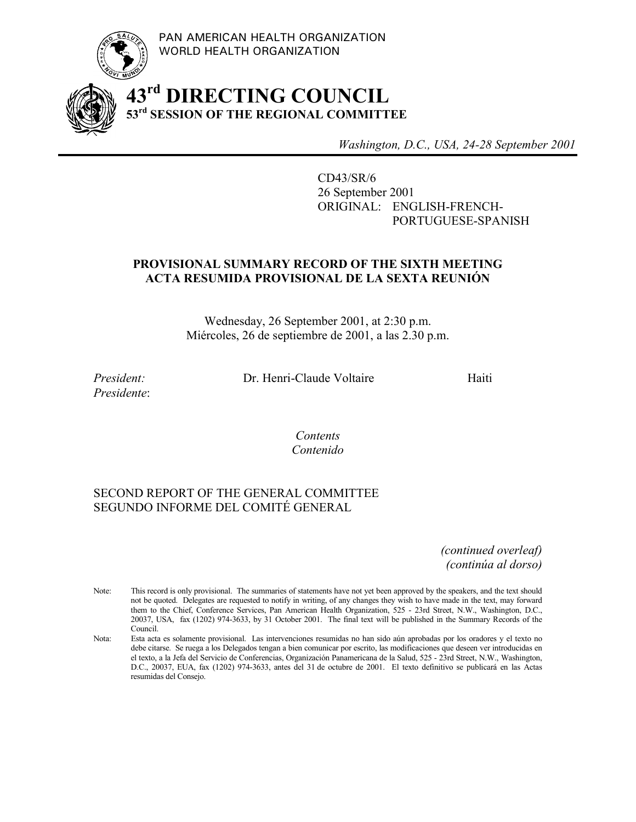



# **43rd DIRECTING COUNCIL 53rd SESSION OF THE REGIONAL COMMITTEE**

*Washington, D.C., USA, 24-28 September 2001*

CD43/SR/6 26 September 2001 ORIGINAL: ENGLISH-FRENCH-PORTUGUESE-SPANISH

# **PROVISIONAL SUMMARY RECORD OF THE SIXTH MEETING ACTA RESUMIDA PROVISIONAL DE LA SEXTA REUNIÓN**

Wednesday, 26 September 2001, at 2:30 p.m. Miércoles, 26 de septiembre de 2001, a las 2.30 p.m.

*Presidente*:

*President:* Dr. Henri-Claude Voltaire Haiti

*Contents Contenido*

### SECOND REPORT OF THE GENERAL COMMITTEE SEGUNDO INFORME DEL COMITÉ GENERAL

*(continued overleaf) (continúa al dorso)*

- Note: This record is only provisional. The summaries of statements have not yet been approved by the speakers, and the text should not be quoted. Delegates are requested to notify in writing, of any changes they wish to have made in the text, may forward them to the Chief, Conference Services, Pan American Health Organization, 525 - 23rd Street, N.W., Washington, D.C., 20037, USA, fax (1202) 974-3633, by 31 October 2001. The final text will be published in the Summary Records of the Council.
- Nota: Esta acta es solamente provisional. Las intervenciones resumidas no han sido aún aprobadas por los oradores y el texto no debe citarse. Se ruega a los Delegados tengan a bien comunicar por escrito, las modificaciones que deseen ver introducidas en el texto, a la Jefa del Servicio de Conferencias, Organización Panamericana de la Salud, 525 - 23rd Street, N.W., Washington, D.C., 20037, EUA, fax (1202) 974-3633, antes del 31 de octubre de 2001. El texto definitivo se publicará en las Actas resumidas del Consejo.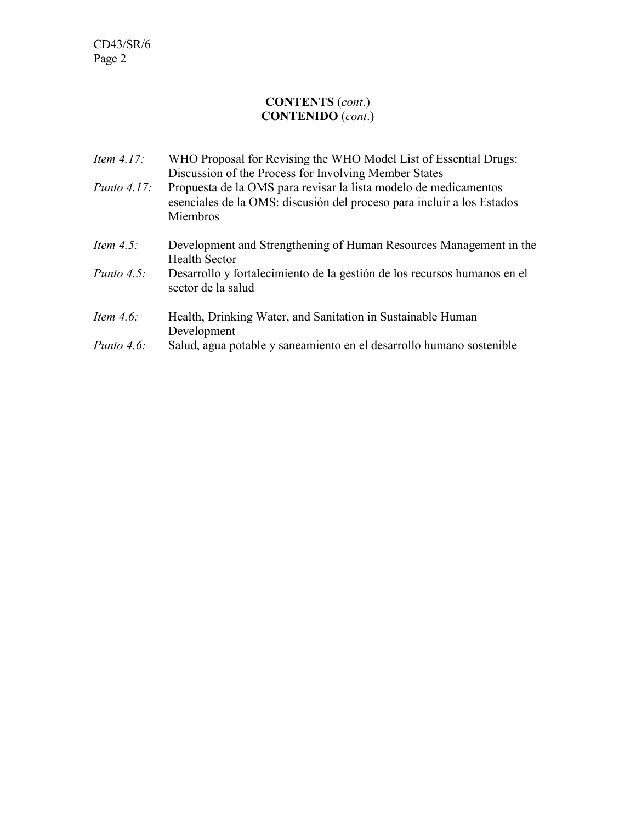### **CONTENTS** (*cont*.) **CONTENIDO** (*cont*.)

| Item $4.17$ :  | WHO Proposal for Revising the WHO Model List of Essential Drugs:<br>Discussion of the Process for Involving Member States                              |
|----------------|--------------------------------------------------------------------------------------------------------------------------------------------------------|
| Punto $4.17$ : | Propuesta de la OMS para revisar la lista modelo de medicamentos<br>esenciales de la OMS: discusión del proceso para incluir a los Estados<br>Miembros |
| Item $4.5$ :   | Development and Strengthening of Human Resources Management in the<br><b>Health Sector</b>                                                             |
| Punto $4.5$ :  | Desarrollo y fortalecimiento de la gestión de los recursos humanos en el<br>sector de la salud                                                         |
| Item $4.6$ :   | Health, Drinking Water, and Sanitation in Sustainable Human<br>Development                                                                             |
| Punto $4.6$ :  | Salud, agua potable y saneamiento en el desarrollo humano sostenible                                                                                   |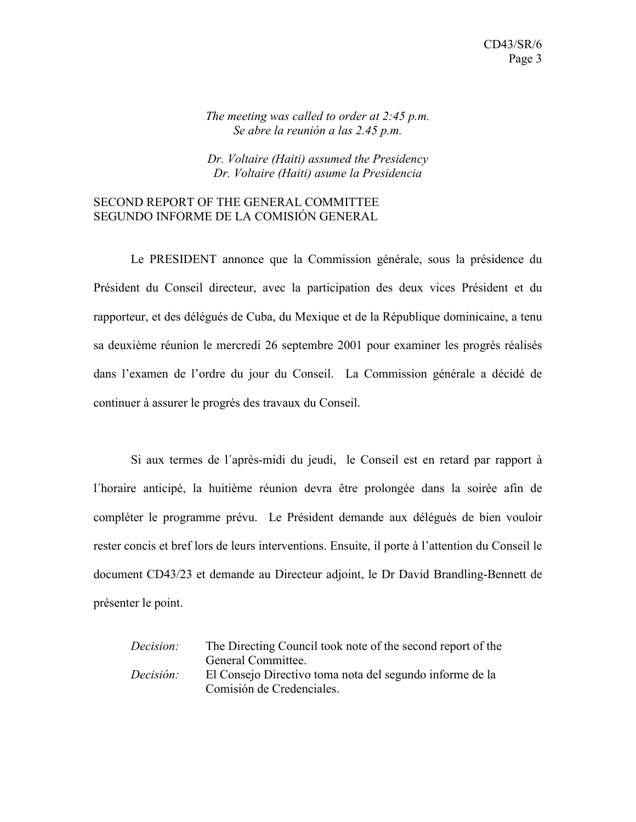#### *The meeting was called to order at 2:45 p.m. Se abre la reunión a las 2.45 p.m.*

*Dr. Voltaire (Haiti) assumed the Presidency Dr. Voltaire (Haiti) asume la Presidencia*

#### SECOND REPORT OF THE GENERAL COMMITTEE SEGUNDO INFORME DE LA COMISIÓN GENERAL

Le PRESIDENT annonce que la Commission générale, sous la présidence du Président du Conseil directeur, avec la participation des deux vices Président et du rapporteur, et des délégués de Cuba, du Mexique et de la République dominicaine, a tenu sa deuxième réunion le mercredi 26 septembre 2001 pour examiner les progrès réalisés dans l'examen de l'ordre du jour du Conseil. La Commission générale a décidé de continuer à assurer le progrès des travaux du Conseil.

Si aux termes de l´après-midi du jeudi, le Conseil est en retard par rapport à l´horaire anticipé, la huitième réunion devra être prolongée dans la soirée afin de compléter le programme prévu. Le Président demande aux délégués de bien vouloir rester concis et bref lors de leurs interventions. Ensuite, il porte à l'attention du Conseil le document CD43/23 et demande au Directeur adjoint, le Dr David Brandling-Bennett de présenter le point.

*Decision:* The Directing Council took note of the second report of the General Committee. *Decisión:* El Consejo Directivo toma nota del segundo informe de la Comisión de Credenciales.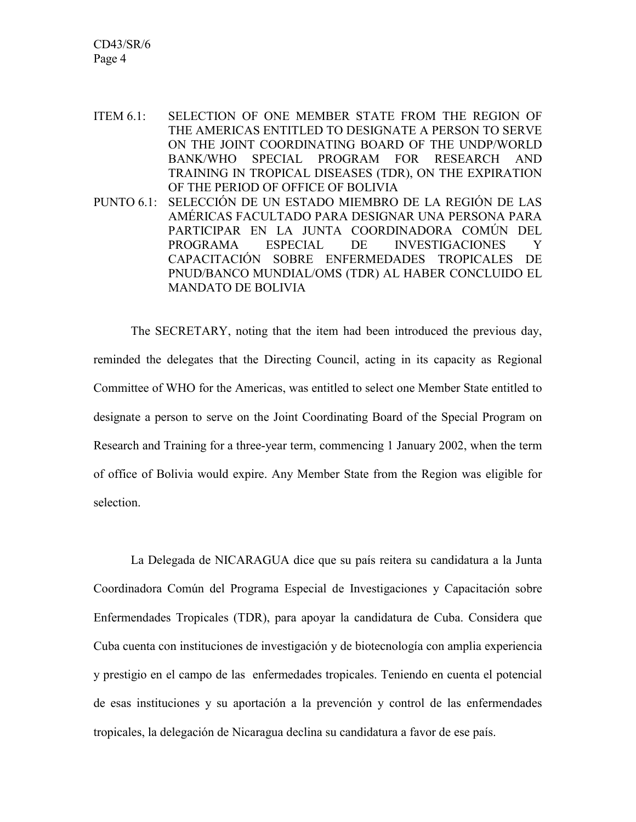CD43/SR/6 Page 4

ITEM 6.1: SELECTION OF ONE MEMBER STATE FROM THE REGION OF THE AMERICAS ENTITLED TO DESIGNATE A PERSON TO SERVE ON THE JOINT COORDINATING BOARD OF THE UNDP/WORLD BANK/WHO SPECIAL PROGRAM FOR RESEARCH AND TRAINING IN TROPICAL DISEASES (TDR), ON THE EXPIRATION OF THE PERIOD OF OFFICE OF BOLIVIA PUNTO 6.1: SELECCIÓN DE UN ESTADO MIEMBRO DE LA REGIÓN DE LAS AMÉRICAS FACULTADO PARA DESIGNAR UNA PERSONA PARA PARTICIPAR EN LA JUNTA COORDINADORA COMÚN DEL PROGRAMA ESPECIAL DE INVESTIGACIONES Y CAPACITACIÓN SOBRE ENFERMEDADES TROPICALES DE PNUD/BANCO MUNDIAL/OMS (TDR) AL HABER CONCLUIDO EL MANDATO DE BOLIVIA

The SECRETARY, noting that the item had been introduced the previous day, reminded the delegates that the Directing Council, acting in its capacity as Regional Committee of WHO for the Americas, was entitled to select one Member State entitled to designate a person to serve on the Joint Coordinating Board of the Special Program on Research and Training for a three-year term, commencing 1 January 2002, when the term of office of Bolivia would expire. Any Member State from the Region was eligible for selection.

La Delegada de NICARAGUA dice que su país reitera su candidatura a la Junta Coordinadora Común del Programa Especial de Investigaciones y Capacitación sobre Enfermendades Tropicales (TDR), para apoyar la candidatura de Cuba. Considera que Cuba cuenta con instituciones de investigación y de biotecnología con amplia experiencia y prestigio en el campo de las enfermedades tropicales. Teniendo en cuenta el potencial de esas instituciones y su aportación a la prevención y control de las enfermendades tropicales, la delegación de Nicaragua declina su candidatura a favor de ese país.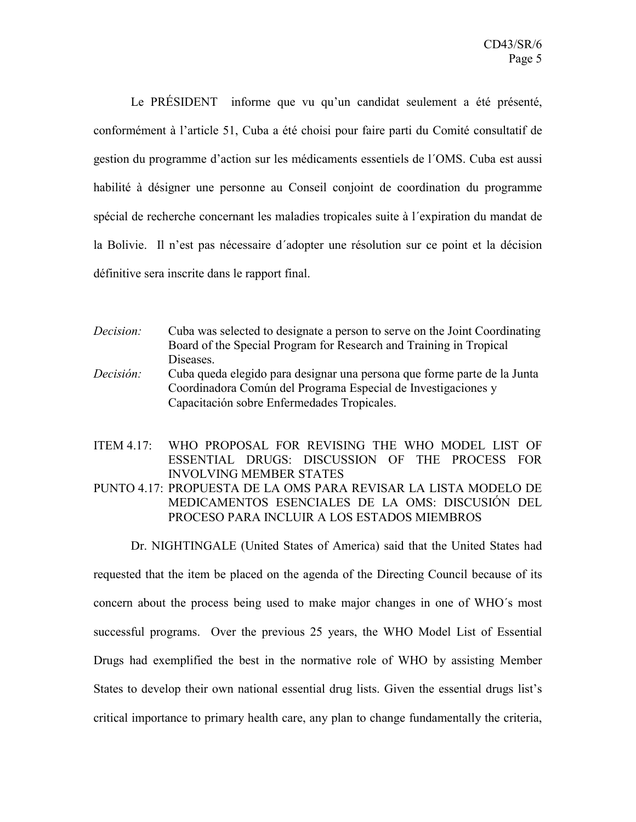Le PRÉSIDENT informe que vu qu'un candidat seulement a été présenté, conformément à l'article 51, Cuba a été choisi pour faire parti du Comité consultatif de gestion du programme d'action sur les médicaments essentiels de l´OMS. Cuba est aussi habilité à désigner une personne au Conseil conjoint de coordination du programme spécial de recherche concernant les maladies tropicales suite à l´expiration du mandat de la Bolivie. Il n'est pas nécessaire d'adopter une résolution sur ce point et la décision définitive sera inscrite dans le rapport final.

- *Decision:* Cuba was selected to designate a person to serve on the Joint Coordinating Board of the Special Program for Research and Training in Tropical Diseases. *Decisión:* Cuba queda elegido para designar una persona que forme parte de la Junta
	- Coordinadora Común del Programa Especial de Investigaciones y Capacitación sobre Enfermedades Tropicales.

ITEM 4.17: WHO PROPOSAL FOR REVISING THE WHO MODEL LIST OF ESSENTIAL DRUGS: DISCUSSION OF THE PROCESS FOR INVOLVING MEMBER STATES

PUNTO 4.17: PROPUESTA DE LA OMS PARA REVISAR LA LISTA MODELO DE MEDICAMENTOS ESENCIALES DE LA OMS: DISCUSIÓN DEL PROCESO PARA INCLUIR A LOS ESTADOS MIEMBROS

Dr. NIGHTINGALE (United States of America) said that the United States had

requested that the item be placed on the agenda of the Directing Council because of its concern about the process being used to make major changes in one of WHO´s most successful programs. Over the previous 25 years, the WHO Model List of Essential Drugs had exemplified the best in the normative role of WHO by assisting Member States to develop their own national essential drug lists. Given the essential drugs list's critical importance to primary health care, any plan to change fundamentally the criteria,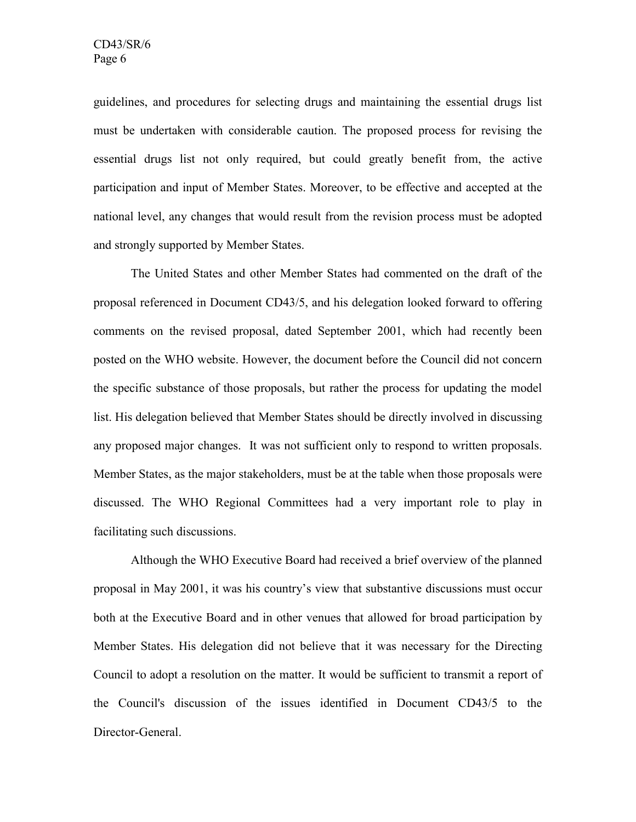guidelines, and procedures for selecting drugs and maintaining the essential drugs list must be undertaken with considerable caution. The proposed process for revising the essential drugs list not only required, but could greatly benefit from, the active participation and input of Member States. Moreover, to be effective and accepted at the national level, any changes that would result from the revision process must be adopted and strongly supported by Member States.

The United States and other Member States had commented on the draft of the proposal referenced in Document CD43/5, and his delegation looked forward to offering comments on the revised proposal, dated September 2001, which had recently been posted on the WHO website. However, the document before the Council did not concern the specific substance of those proposals, but rather the process for updating the model list. His delegation believed that Member States should be directly involved in discussing any proposed major changes. It was not sufficient only to respond to written proposals. Member States, as the major stakeholders, must be at the table when those proposals were discussed. The WHO Regional Committees had a very important role to play in facilitating such discussions.

Although the WHO Executive Board had received a brief overview of the planned proposal in May 2001, it was his country's view that substantive discussions must occur both at the Executive Board and in other venues that allowed for broad participation by Member States. His delegation did not believe that it was necessary for the Directing Council to adopt a resolution on the matter. It would be sufficient to transmit a report of the Council's discussion of the issues identified in Document CD43/5 to the Director-General.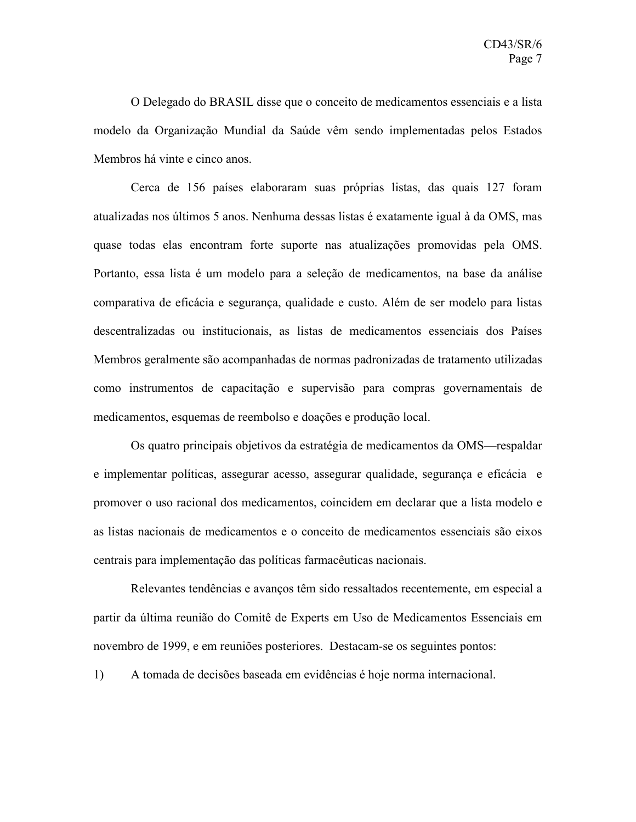O Delegado do BRASIL disse que o conceito de medicamentos essenciais e a lista modelo da Organização Mundial da Saúde vêm sendo implementadas pelos Estados Membros há vinte e cinco anos.

Cerca de 156 países elaboraram suas próprias listas, das quais 127 foram atualizadas nos últimos 5 anos. Nenhuma dessas listas é exatamente igual à da OMS, mas quase todas elas encontram forte suporte nas atualizações promovidas pela OMS. Portanto, essa lista é um modelo para a seleção de medicamentos, na base da análise comparativa de eficácia e segurança, qualidade e custo. Além de ser modelo para listas descentralizadas ou institucionais, as listas de medicamentos essenciais dos Países Membros geralmente são acompanhadas de normas padronizadas de tratamento utilizadas como instrumentos de capacitação e supervisão para compras governamentais de medicamentos, esquemas de reembolso e doações e produção local.

Os quatro principais objetivos da estratégia de medicamentos da OMS—respaldar e implementar políticas, assegurar acesso, assegurar qualidade, segurança e eficácia e promover o uso racional dos medicamentos, coincidem em declarar que a lista modelo e as listas nacionais de medicamentos e o conceito de medicamentos essenciais são eixos centrais para implementação das políticas farmacêuticas nacionais.

Relevantes tendências e avanços têm sido ressaltados recentemente, em especial a partir da última reunião do Comitê de Experts em Uso de Medicamentos Essenciais em novembro de 1999, e em reuniões posteriores. Destacam-se os seguintes pontos:

1) A tomada de decisões baseada em evidências é hoje norma internacional.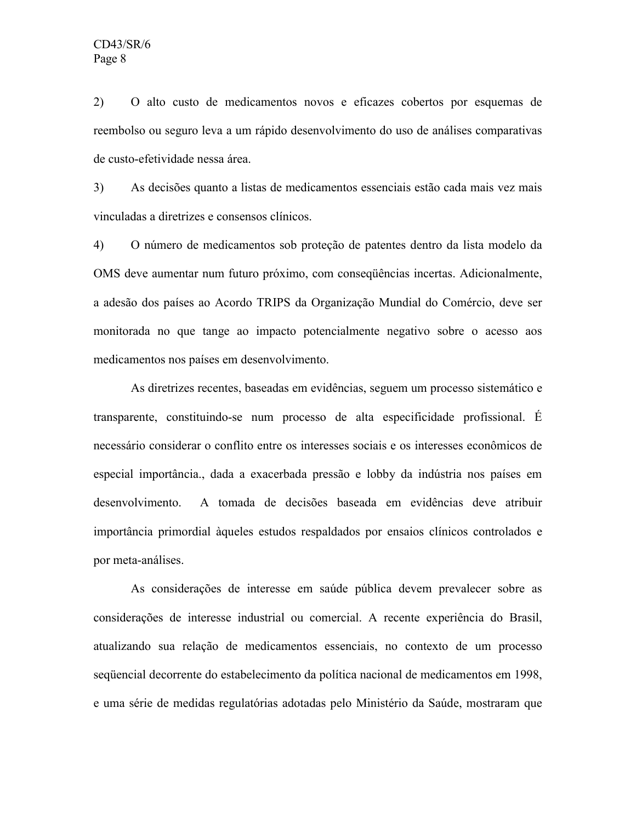2) O alto custo de medicamentos novos e eficazes cobertos por esquemas de reembolso ou seguro leva a um rápido desenvolvimento do uso de análises comparativas de custo-efetividade nessa área.

3) As decisões quanto a listas de medicamentos essenciais estão cada mais vez mais vinculadas a diretrizes e consensos clínicos.

4) O número de medicamentos sob proteção de patentes dentro da lista modelo da OMS deve aumentar num futuro próximo, com conseqüências incertas. Adicionalmente, a adesão dos países ao Acordo TRIPS da Organização Mundial do Comércio, deve ser monitorada no que tange ao impacto potencialmente negativo sobre o acesso aos medicamentos nos países em desenvolvimento.

As diretrizes recentes, baseadas em evidências, seguem um processo sistemático e transparente, constituindo-se num processo de alta especificidade profissional. É necessário considerar o conflito entre os interesses sociais e os interesses econômicos de especial importância., dada a exacerbada pressão e lobby da indústria nos países em desenvolvimento. A tomada de decisões baseada em evidências deve atribuir importância primordial àqueles estudos respaldados por ensaios clínicos controlados e por meta-análises.

As considerações de interesse em saúde pública devem prevalecer sobre as considerações de interesse industrial ou comercial. A recente experiência do Brasil, atualizando sua relação de medicamentos essenciais, no contexto de um processo seqüencial decorrente do estabelecimento da política nacional de medicamentos em 1998, e uma série de medidas regulatórias adotadas pelo Ministério da Saúde, mostraram que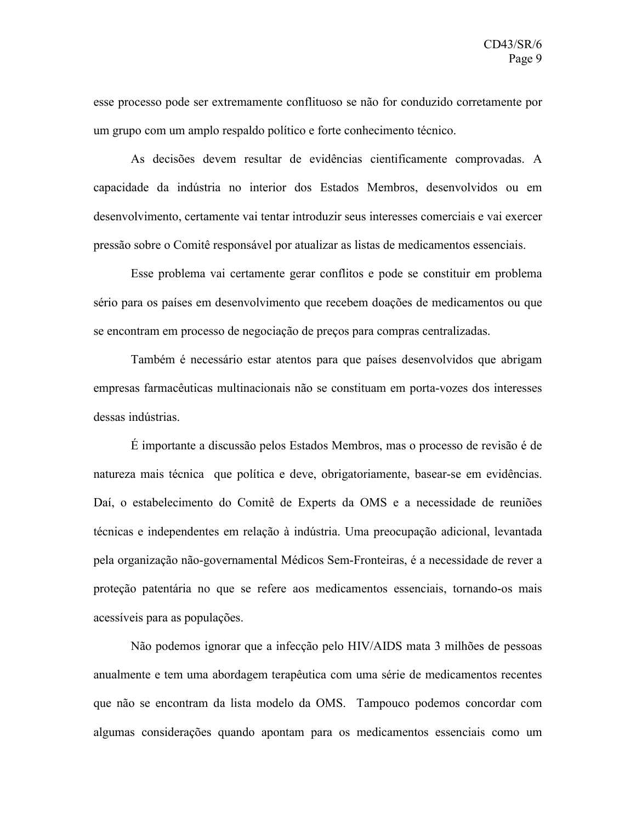esse processo pode ser extremamente conflituoso se não for conduzido corretamente por um grupo com um amplo respaldo político e forte conhecimento técnico.

As decisões devem resultar de evidências cientificamente comprovadas. A capacidade da indústria no interior dos Estados Membros, desenvolvidos ou em desenvolvimento, certamente vai tentar introduzir seus interesses comerciais e vai exercer pressão sobre o Comitê responsável por atualizar as listas de medicamentos essenciais.

Esse problema vai certamente gerar conflitos e pode se constituir em problema sério para os países em desenvolvimento que recebem doações de medicamentos ou que se encontram em processo de negociação de preços para compras centralizadas.

Também é necessário estar atentos para que países desenvolvidos que abrigam empresas farmacêuticas multinacionais não se constituam em porta-vozes dos interesses dessas indústrias.

É importante a discussão pelos Estados Membros, mas o processo de revisão é de natureza mais técnica que política e deve, obrigatoriamente, basear-se em evidências. Daí, o estabelecimento do Comitê de Experts da OMS e a necessidade de reuniões técnicas e independentes em relação à indústria. Uma preocupação adicional, levantada pela organização não-governamental Médicos Sem-Fronteiras, é a necessidade de rever a proteção patentária no que se refere aos medicamentos essenciais, tornando-os mais acessíveis para as populações.

Não podemos ignorar que a infecção pelo HIV/AIDS mata 3 milhões de pessoas anualmente e tem uma abordagem terapêutica com uma série de medicamentos recentes que não se encontram da lista modelo da OMS. Tampouco podemos concordar com algumas considerações quando apontam para os medicamentos essenciais como um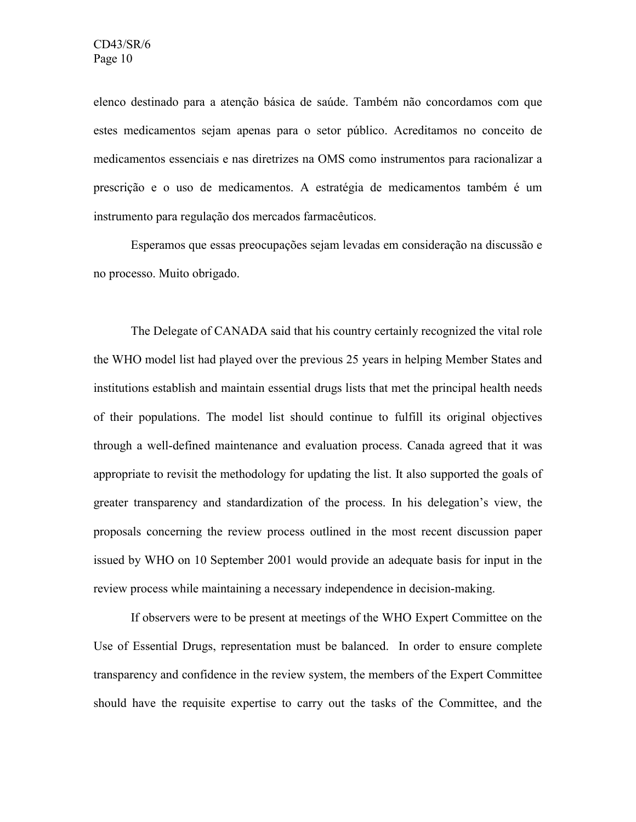elenco destinado para a atenção básica de saúde. Também não concordamos com que estes medicamentos sejam apenas para o setor público. Acreditamos no conceito de medicamentos essenciais e nas diretrizes na OMS como instrumentos para racionalizar a prescrição e o uso de medicamentos. A estratégia de medicamentos também é um instrumento para regulação dos mercados farmacêuticos.

Esperamos que essas preocupações sejam levadas em consideração na discussão e no processo. Muito obrigado.

The Delegate of CANADA said that his country certainly recognized the vital role the WHO model list had played over the previous 25 years in helping Member States and institutions establish and maintain essential drugs lists that met the principal health needs of their populations. The model list should continue to fulfill its original objectives through a well-defined maintenance and evaluation process. Canada agreed that it was appropriate to revisit the methodology for updating the list. It also supported the goals of greater transparency and standardization of the process. In his delegation's view, the proposals concerning the review process outlined in the most recent discussion paper issued by WHO on 10 September 2001 would provide an adequate basis for input in the review process while maintaining a necessary independence in decision-making.

If observers were to be present at meetings of the WHO Expert Committee on the Use of Essential Drugs, representation must be balanced. In order to ensure complete transparency and confidence in the review system, the members of the Expert Committee should have the requisite expertise to carry out the tasks of the Committee, and the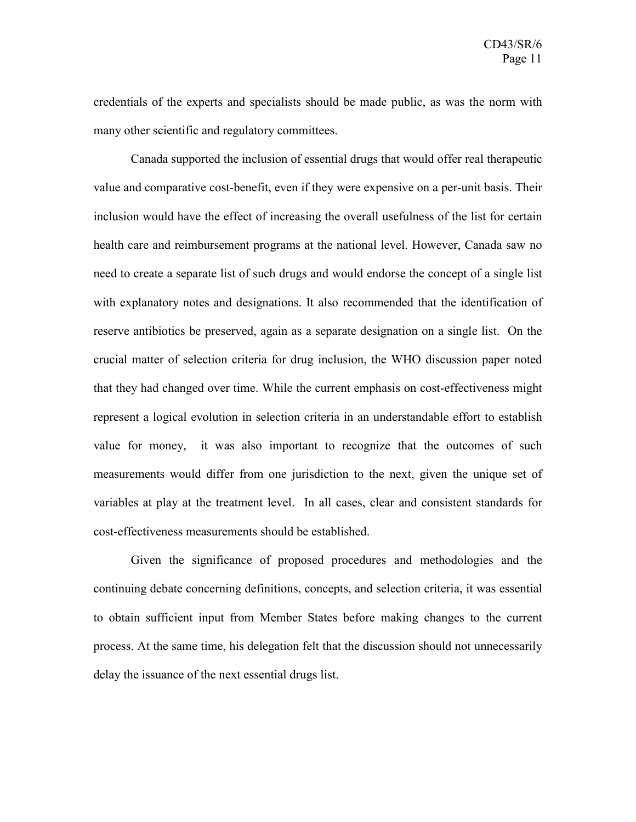credentials of the experts and specialists should be made public, as was the norm with many other scientific and regulatory committees.

Canada supported the inclusion of essential drugs that would offer real therapeutic value and comparative cost-benefit, even if they were expensive on a per-unit basis. Their inclusion would have the effect of increasing the overall usefulness of the list for certain health care and reimbursement programs at the national level. However, Canada saw no need to create a separate list of such drugs and would endorse the concept of a single list with explanatory notes and designations. It also recommended that the identification of reserve antibiotics be preserved, again as a separate designation on a single list. On the crucial matter of selection criteria for drug inclusion, the WHO discussion paper noted that they had changed over time. While the current emphasis on cost-effectiveness might represent a logical evolution in selection criteria in an understandable effort to establish value for money, it was also important to recognize that the outcomes of such measurements would differ from one jurisdiction to the next, given the unique set of variables at play at the treatment level. In all cases, clear and consistent standards for cost-effectiveness measurements should be established.

Given the significance of proposed procedures and methodologies and the continuing debate concerning definitions, concepts, and selection criteria, it was essential to obtain sufficient input from Member States before making changes to the current process. At the same time, his delegation felt that the discussion should not unnecessarily delay the issuance of the next essential drugs list.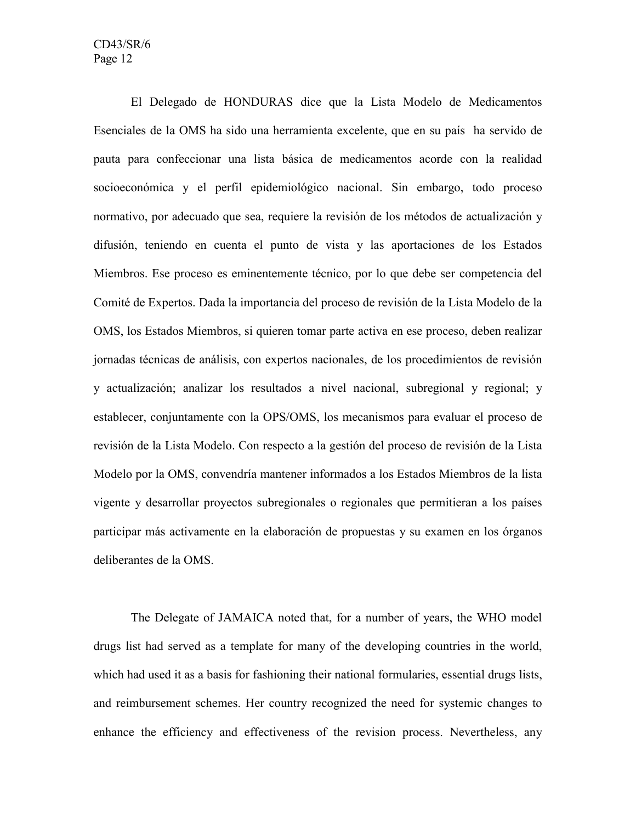El Delegado de HONDURAS dice que la Lista Modelo de Medicamentos Esenciales de la OMS ha sido una herramienta excelente, que en su país ha servido de pauta para confeccionar una lista básica de medicamentos acorde con la realidad socioeconómica y el perfil epidemiológico nacional. Sin embargo, todo proceso normativo, por adecuado que sea, requiere la revisión de los métodos de actualización y difusión, teniendo en cuenta el punto de vista y las aportaciones de los Estados Miembros. Ese proceso es eminentemente técnico, por lo que debe ser competencia del Comité de Expertos. Dada la importancia del proceso de revisión de la Lista Modelo de la OMS, los Estados Miembros, si quieren tomar parte activa en ese proceso, deben realizar jornadas técnicas de análisis, con expertos nacionales, de los procedimientos de revisión y actualización; analizar los resultados a nivel nacional, subregional y regional; y establecer, conjuntamente con la OPS/OMS, los mecanismos para evaluar el proceso de revisión de la Lista Modelo. Con respecto a la gestión del proceso de revisión de la Lista Modelo por la OMS, convendría mantener informados a los Estados Miembros de la lista vigente y desarrollar proyectos subregionales o regionales que permitieran a los países participar más activamente en la elaboración de propuestas y su examen en los órganos deliberantes de la OMS.

The Delegate of JAMAICA noted that, for a number of years, the WHO model drugs list had served as a template for many of the developing countries in the world, which had used it as a basis for fashioning their national formularies, essential drugs lists, and reimbursement schemes. Her country recognized the need for systemic changes to enhance the efficiency and effectiveness of the revision process. Nevertheless, any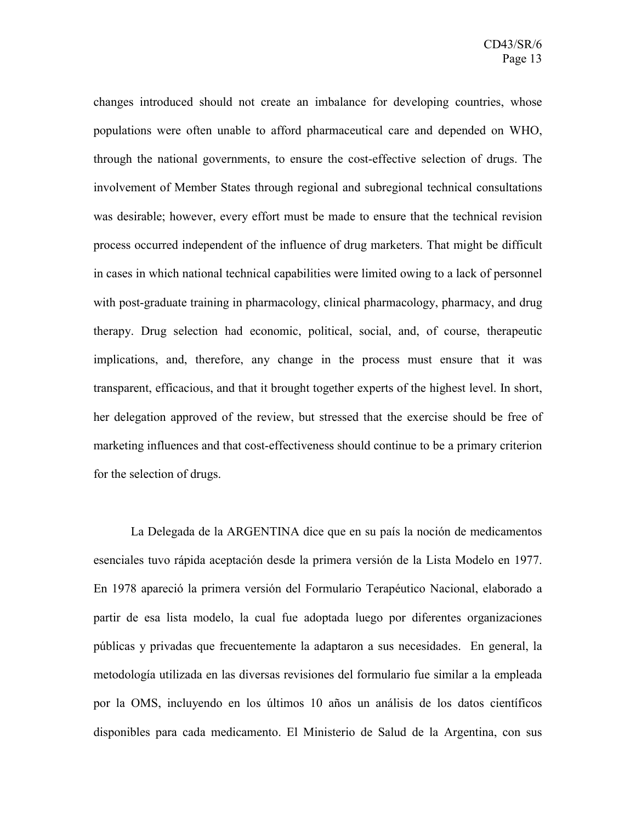changes introduced should not create an imbalance for developing countries, whose populations were often unable to afford pharmaceutical care and depended on WHO, through the national governments, to ensure the cost-effective selection of drugs. The involvement of Member States through regional and subregional technical consultations was desirable; however, every effort must be made to ensure that the technical revision process occurred independent of the influence of drug marketers. That might be difficult in cases in which national technical capabilities were limited owing to a lack of personnel with post-graduate training in pharmacology, clinical pharmacology, pharmacy, and drug therapy. Drug selection had economic, political, social, and, of course, therapeutic implications, and, therefore, any change in the process must ensure that it was transparent, efficacious, and that it brought together experts of the highest level. In short, her delegation approved of the review, but stressed that the exercise should be free of marketing influences and that cost-effectiveness should continue to be a primary criterion for the selection of drugs.

La Delegada de la ARGENTINA dice que en su país la noción de medicamentos esenciales tuvo rápida aceptación desde la primera versión de la Lista Modelo en 1977. En 1978 apareció la primera versión del Formulario Terapéutico Nacional, elaborado a partir de esa lista modelo, la cual fue adoptada luego por diferentes organizaciones públicas y privadas que frecuentemente la adaptaron a sus necesidades. En general, la metodología utilizada en las diversas revisiones del formulario fue similar a la empleada por la OMS, incluyendo en los últimos 10 años un análisis de los datos científicos disponibles para cada medicamento. El Ministerio de Salud de la Argentina, con sus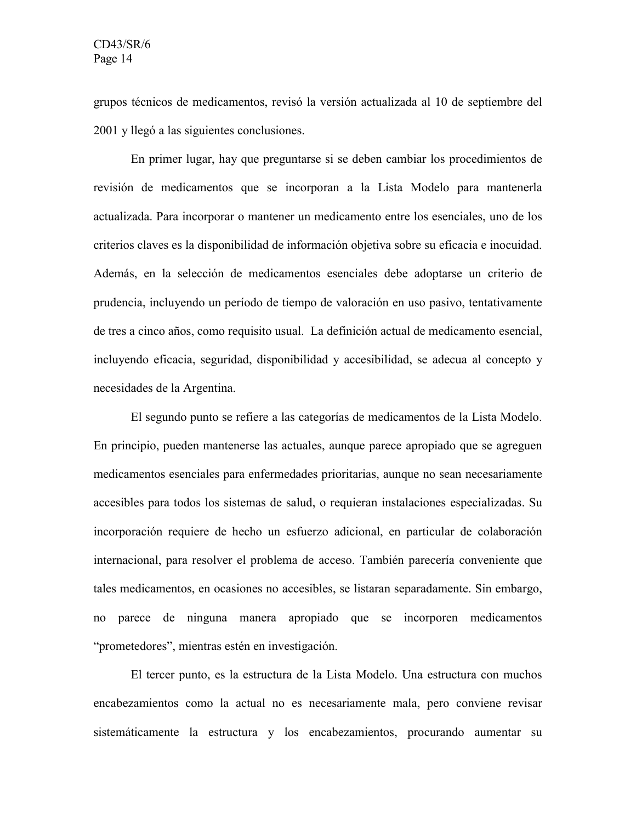grupos técnicos de medicamentos, revisó la versión actualizada al 10 de septiembre del 2001 y llegó a las siguientes conclusiones.

En primer lugar, hay que preguntarse si se deben cambiar los procedimientos de revisión de medicamentos que se incorporan a la Lista Modelo para mantenerla actualizada. Para incorporar o mantener un medicamento entre los esenciales, uno de los criterios claves es la disponibilidad de información objetiva sobre su eficacia e inocuidad. Además, en la selección de medicamentos esenciales debe adoptarse un criterio de prudencia, incluyendo un período de tiempo de valoración en uso pasivo, tentativamente de tres a cinco años, como requisito usual. La definición actual de medicamento esencial, incluyendo eficacia, seguridad, disponibilidad y accesibilidad, se adecua al concepto y necesidades de la Argentina.

El segundo punto se refiere a las categorías de medicamentos de la Lista Modelo. En principio, pueden mantenerse las actuales, aunque parece apropiado que se agreguen medicamentos esenciales para enfermedades prioritarias, aunque no sean necesariamente accesibles para todos los sistemas de salud, o requieran instalaciones especializadas. Su incorporación requiere de hecho un esfuerzo adicional, en particular de colaboración internacional, para resolver el problema de acceso. También parecería conveniente que tales medicamentos, en ocasiones no accesibles, se listaran separadamente. Sin embargo, no parece de ninguna manera apropiado que se incorporen medicamentos "prometedores", mientras estén en investigación.

El tercer punto, es la estructura de la Lista Modelo. Una estructura con muchos encabezamientos como la actual no es necesariamente mala, pero conviene revisar sistemáticamente la estructura y los encabezamientos, procurando aumentar su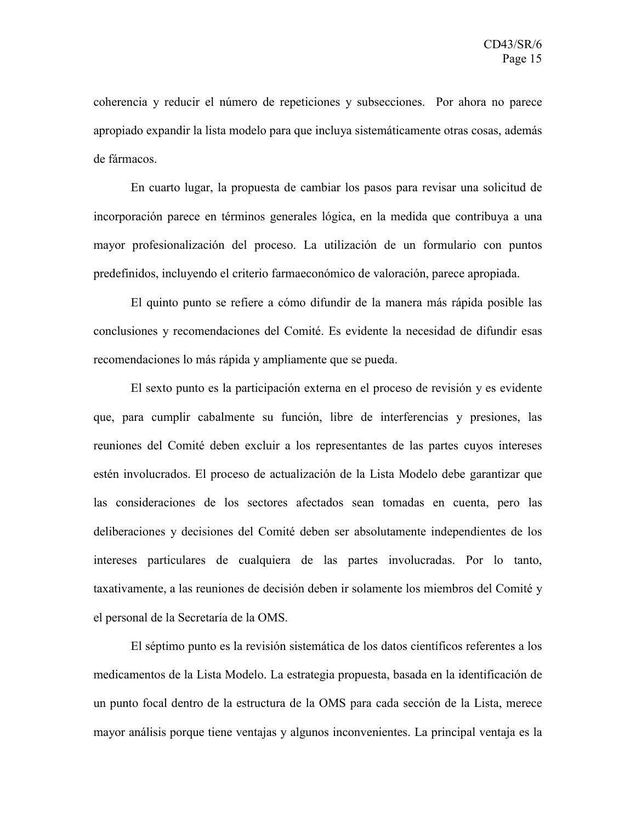coherencia y reducir el número de repeticiones y subsecciones. Por ahora no parece apropiado expandir la lista modelo para que incluya sistemáticamente otras cosas, además de fármacos.

En cuarto lugar, la propuesta de cambiar los pasos para revisar una solicitud de incorporación parece en términos generales lógica, en la medida que contribuya a una mayor profesionalización del proceso. La utilización de un formulario con puntos predefinidos, incluyendo el criterio farmaeconómico de valoración, parece apropiada.

El quinto punto se refiere a cómo difundir de la manera más rápida posible las conclusiones y recomendaciones del Comité. Es evidente la necesidad de difundir esas recomendaciones lo más rápida y ampliamente que se pueda.

El sexto punto es la participación externa en el proceso de revisión y es evidente que, para cumplir cabalmente su función, libre de interferencias y presiones, las reuniones del Comité deben excluir a los representantes de las partes cuyos intereses estén involucrados. El proceso de actualización de la Lista Modelo debe garantizar que las consideraciones de los sectores afectados sean tomadas en cuenta, pero las deliberaciones y decisiones del Comité deben ser absolutamente independientes de los intereses particulares de cualquiera de las partes involucradas. Por lo tanto, taxativamente, a las reuniones de decisión deben ir solamente los miembros del Comité y el personal de la Secretaría de la OMS.

El séptimo punto es la revisión sistemática de los datos científicos referentes a los medicamentos de la Lista Modelo. La estrategia propuesta, basada en la identificación de un punto focal dentro de la estructura de la OMS para cada sección de la Lista, merece mayor análisis porque tiene ventajas y algunos inconvenientes. La principal ventaja es la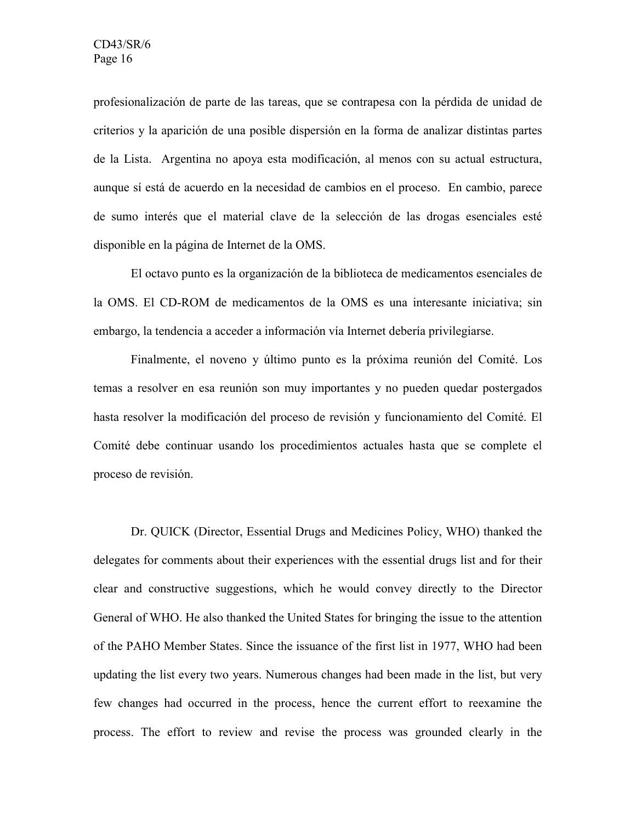profesionalización de parte de las tareas, que se contrapesa con la pérdida de unidad de criterios y la aparición de una posible dispersión en la forma de analizar distintas partes de la Lista. Argentina no apoya esta modificación, al menos con su actual estructura, aunque sí está de acuerdo en la necesidad de cambios en el proceso. En cambio, parece de sumo interés que el material clave de la selección de las drogas esenciales esté disponible en la página de Internet de la OMS.

El octavo punto es la organización de la biblioteca de medicamentos esenciales de la OMS. El CD-ROM de medicamentos de la OMS es una interesante iniciativa; sin embargo, la tendencia a acceder a información vía Internet debería privilegiarse.

Finalmente, el noveno y último punto es la próxima reunión del Comité. Los temas a resolver en esa reunión son muy importantes y no pueden quedar postergados hasta resolver la modificación del proceso de revisión y funcionamiento del Comité. El Comité debe continuar usando los procedimientos actuales hasta que se complete el proceso de revisión.

Dr. QUICK (Director, Essential Drugs and Medicines Policy, WHO) thanked the delegates for comments about their experiences with the essential drugs list and for their clear and constructive suggestions, which he would convey directly to the Director General of WHO. He also thanked the United States for bringing the issue to the attention of the PAHO Member States. Since the issuance of the first list in 1977, WHO had been updating the list every two years. Numerous changes had been made in the list, but very few changes had occurred in the process, hence the current effort to reexamine the process. The effort to review and revise the process was grounded clearly in the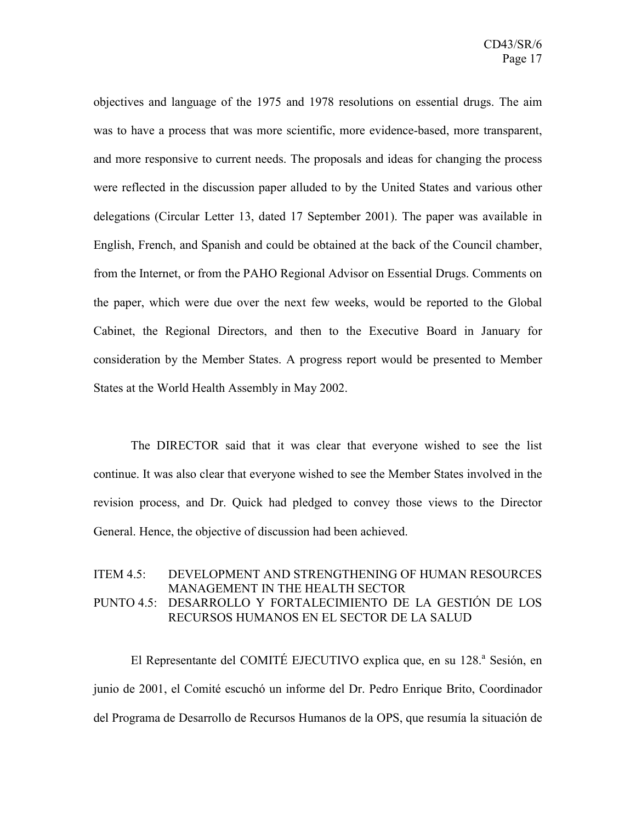objectives and language of the 1975 and 1978 resolutions on essential drugs. The aim was to have a process that was more scientific, more evidence-based, more transparent, and more responsive to current needs. The proposals and ideas for changing the process were reflected in the discussion paper alluded to by the United States and various other delegations (Circular Letter 13, dated 17 September 2001). The paper was available in English, French, and Spanish and could be obtained at the back of the Council chamber, from the Internet, or from the PAHO Regional Advisor on Essential Drugs. Comments on the paper, which were due over the next few weeks, would be reported to the Global Cabinet, the Regional Directors, and then to the Executive Board in January for consideration by the Member States. A progress report would be presented to Member States at the World Health Assembly in May 2002.

The DIRECTOR said that it was clear that everyone wished to see the list continue. It was also clear that everyone wished to see the Member States involved in the revision process, and Dr. Quick had pledged to convey those views to the Director General. Hence, the objective of discussion had been achieved.

#### ITEM 4.5: DEVELOPMENT AND STRENGTHENING OF HUMAN RESOURCES MANAGEMENT IN THE HEALTH SECTOR PUNTO 4.5: DESARROLLO Y FORTALECIMIENTO DE LA GESTIÓN DE LOS RECURSOS HUMANOS EN EL SECTOR DE LA SALUD

El Representante del COMITÉ EJECUTIVO explica que, en su 128.ª Sesión, en junio de 2001, el Comité escuchó un informe del Dr. Pedro Enrique Brito, Coordinador del Programa de Desarrollo de Recursos Humanos de la OPS, que resumía la situación de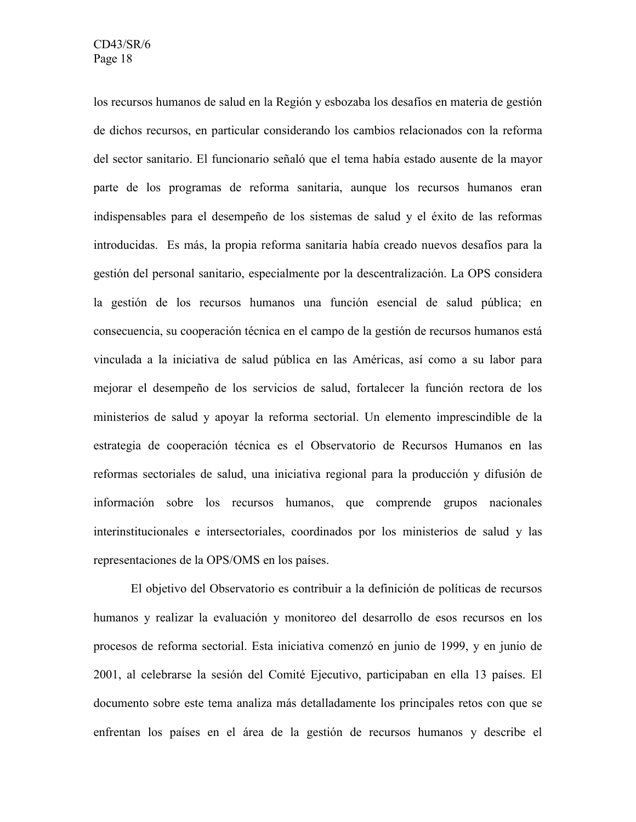los recursos humanos de salud en la Región y esbozaba los desafíos en materia de gestión de dichos recursos, en particular considerando los cambios relacionados con la reforma del sector sanitario. El funcionario señaló que el tema había estado ausente de la mayor parte de los programas de reforma sanitaria, aunque los recursos humanos eran indispensables para el desempeño de los sistemas de salud y el éxito de las reformas introducidas. Es más, la propia reforma sanitaria había creado nuevos desafíos para la gestión del personal sanitario, especialmente por la descentralización. La OPS considera la gestión de los recursos humanos una función esencial de salud pública; en consecuencia, su cooperación técnica en el campo de la gestión de recursos humanos está vinculada a la iniciativa de salud pública en las Américas, así como a su labor para mejorar el desempeño de los servicios de salud, fortalecer la función rectora de los ministerios de salud y apoyar la reforma sectorial. Un elemento imprescindible de la estrategia de cooperación técnica es el Observatorio de Recursos Humanos en las reformas sectoriales de salud, una iniciativa regional para la producción y difusión de información sobre los recursos humanos, que comprende grupos nacionales interinstitucionales e intersectoriales, coordinados por los ministerios de salud y las representaciones de la OPS/OMS en los países.

El objetivo del Observatorio es contribuir a la definición de políticas de recursos humanos y realizar la evaluación y monitoreo del desarrollo de esos recursos en los procesos de reforma sectorial. Esta iniciativa comenzó en junio de 1999, y en junio de 2001, al celebrarse la sesión del Comité Ejecutivo, participaban en ella 13 países. El documento sobre este tema analiza más detalladamente los principales retos con que se enfrentan los países en el área de la gestión de recursos humanos y describe el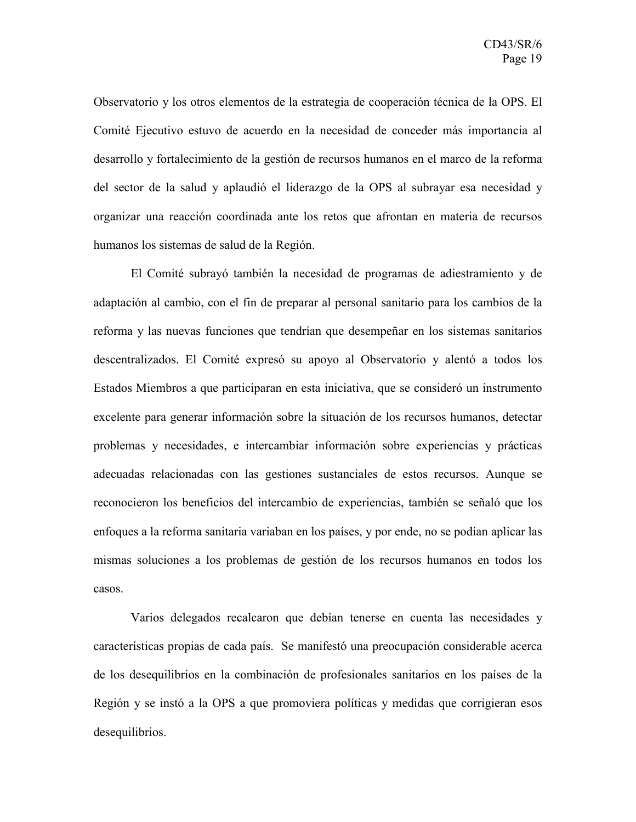Observatorio y los otros elementos de la estrategia de cooperación técnica de la OPS. El Comité Ejecutivo estuvo de acuerdo en la necesidad de conceder más importancia al desarrollo y fortalecimiento de la gestión de recursos humanos en el marco de la reforma del sector de la salud y aplaudió el liderazgo de la OPS al subrayar esa necesidad y organizar una reacción coordinada ante los retos que afrontan en materia de recursos humanos los sistemas de salud de la Región.

El Comité subrayó también la necesidad de programas de adiestramiento y de adaptación al cambio, con el fin de preparar al personal sanitario para los cambios de la reforma y las nuevas funciones que tendrían que desempeñar en los sistemas sanitarios descentralizados. El Comité expresó su apoyo al Observatorio y alentó a todos los Estados Miembros a que participaran en esta iniciativa, que se consideró un instrumento excelente para generar información sobre la situación de los recursos humanos, detectar problemas y necesidades, e intercambiar información sobre experiencias y prácticas adecuadas relacionadas con las gestiones sustanciales de estos recursos. Aunque se reconocieron los beneficios del intercambio de experiencias, también se señaló que los enfoques a la reforma sanitaria variaban en los países, y por ende, no se podían aplicar las mismas soluciones a los problemas de gestión de los recursos humanos en todos los casos.

Varios delegados recalcaron que debían tenerse en cuenta las necesidades y características propias de cada país. Se manifestó una preocupación considerable acerca de los desequilibrios en la combinación de profesionales sanitarios en los países de la Región y se instó a la OPS a que promoviera políticas y medidas que corrigieran esos desequilibrios.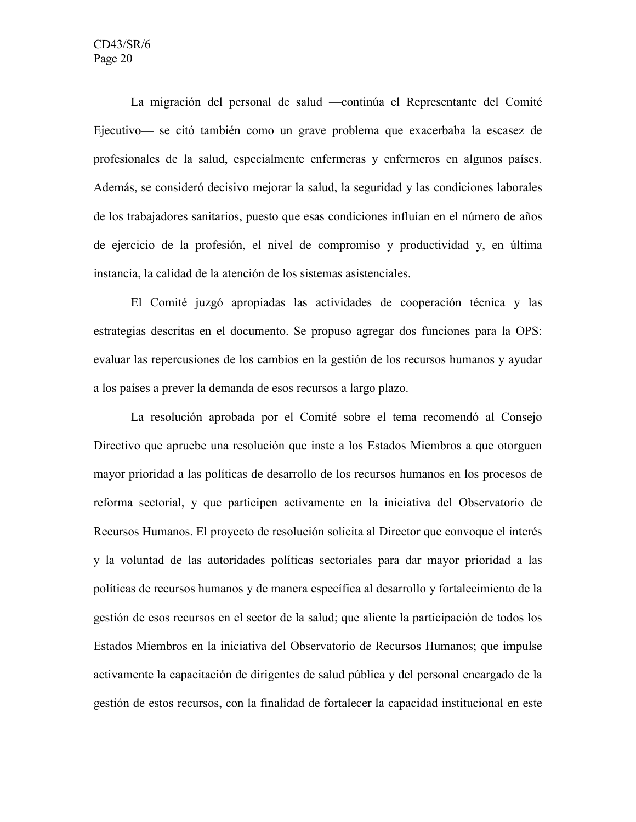La migración del personal de salud —continúa el Representante del Comité Ejecutivo— se citó también como un grave problema que exacerbaba la escasez de profesionales de la salud, especialmente enfermeras y enfermeros en algunos países. Además, se consideró decisivo mejorar la salud, la seguridad y las condiciones laborales de los trabajadores sanitarios, puesto que esas condiciones influían en el número de años de ejercicio de la profesión, el nivel de compromiso y productividad y, en última instancia, la calidad de la atención de los sistemas asistenciales.

El Comité juzgó apropiadas las actividades de cooperación técnica y las estrategias descritas en el documento. Se propuso agregar dos funciones para la OPS: evaluar las repercusiones de los cambios en la gestión de los recursos humanos y ayudar a los países a prever la demanda de esos recursos a largo plazo.

La resolución aprobada por el Comité sobre el tema recomendó al Consejo Directivo que apruebe una resolución que inste a los Estados Miembros a que otorguen mayor prioridad a las políticas de desarrollo de los recursos humanos en los procesos de reforma sectorial, y que participen activamente en la iniciativa del Observatorio de Recursos Humanos. El proyecto de resolución solicita al Director que convoque el interés y la voluntad de las autoridades políticas sectoriales para dar mayor prioridad a las políticas de recursos humanos y de manera específica al desarrollo y fortalecimiento de la gestión de esos recursos en el sector de la salud; que aliente la participación de todos los Estados Miembros en la iniciativa del Observatorio de Recursos Humanos; que impulse activamente la capacitación de dirigentes de salud pública y del personal encargado de la gestión de estos recursos, con la finalidad de fortalecer la capacidad institucional en este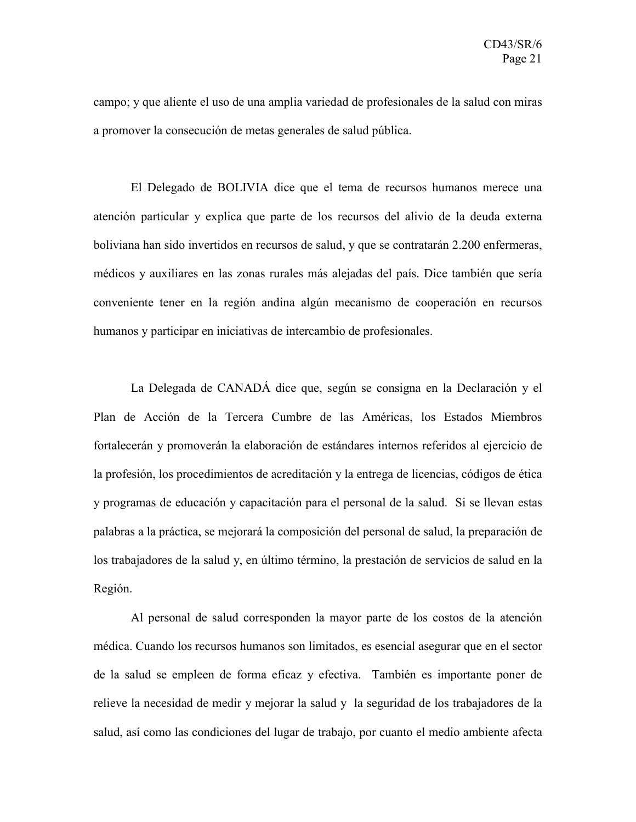campo; y que aliente el uso de una amplia variedad de profesionales de la salud con miras a promover la consecución de metas generales de salud pública.

El Delegado de BOLIVIA dice que el tema de recursos humanos merece una atención particular y explica que parte de los recursos del alivio de la deuda externa boliviana han sido invertidos en recursos de salud, y que se contratarán 2.200 enfermeras, médicos y auxiliares en las zonas rurales más alejadas del país. Dice también que sería conveniente tener en la región andina algún mecanismo de cooperación en recursos humanos y participar en iniciativas de intercambio de profesionales.

La Delegada de CANADÁ dice que, según se consigna en la Declaración y el Plan de Acción de la Tercera Cumbre de las Américas, los Estados Miembros fortalecerán y promoverán la elaboración de estándares internos referidos al ejercicio de la profesión, los procedimientos de acreditación y la entrega de licencias, códigos de ética y programas de educación y capacitación para el personal de la salud. Si se llevan estas palabras a la práctica, se mejorará la composición del personal de salud, la preparación de los trabajadores de la salud y, en último término, la prestación de servicios de salud en la Región.

Al personal de salud corresponden la mayor parte de los costos de la atención médica. Cuando los recursos humanos son limitados, es esencial asegurar que en el sector de la salud se empleen de forma eficaz y efectiva. También es importante poner de relieve la necesidad de medir y mejorar la salud y la seguridad de los trabajadores de la salud, así como las condiciones del lugar de trabajo, por cuanto el medio ambiente afecta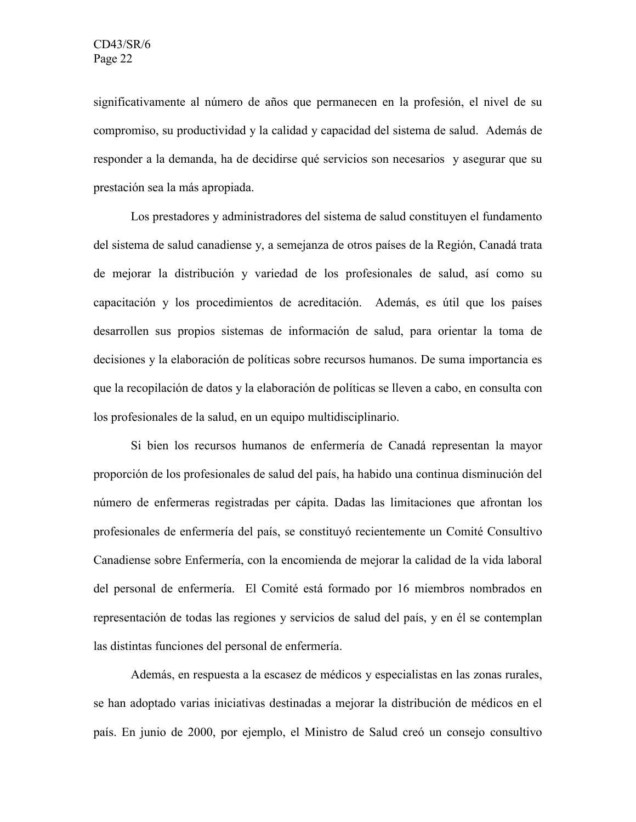significativamente al número de años que permanecen en la profesión, el nivel de su compromiso, su productividad y la calidad y capacidad del sistema de salud. Además de responder a la demanda, ha de decidirse qué servicios son necesarios y asegurar que su prestación sea la más apropiada.

Los prestadores y administradores del sistema de salud constituyen el fundamento del sistema de salud canadiense y, a semejanza de otros países de la Región, Canadá trata de mejorar la distribución y variedad de los profesionales de salud, así como su capacitación y los procedimientos de acreditación. Además, es útil que los países desarrollen sus propios sistemas de información de salud, para orientar la toma de decisiones y la elaboración de políticas sobre recursos humanos. De suma importancia es que la recopilación de datos y la elaboración de políticas se lleven a cabo, en consulta con los profesionales de la salud, en un equipo multidisciplinario.

Si bien los recursos humanos de enfermería de Canadá representan la mayor proporción de los profesionales de salud del país, ha habido una continua disminución del número de enfermeras registradas per cápita. Dadas las limitaciones que afrontan los profesionales de enfermería del país, se constituyó recientemente un Comité Consultivo Canadiense sobre Enfermería, con la encomienda de mejorar la calidad de la vida laboral del personal de enfermería. El Comité está formado por 16 miembros nombrados en representación de todas las regiones y servicios de salud del país, y en él se contemplan las distintas funciones del personal de enfermería.

Además, en respuesta a la escasez de médicos y especialistas en las zonas rurales, se han adoptado varias iniciativas destinadas a mejorar la distribución de médicos en el país. En junio de 2000, por ejemplo, el Ministro de Salud creó un consejo consultivo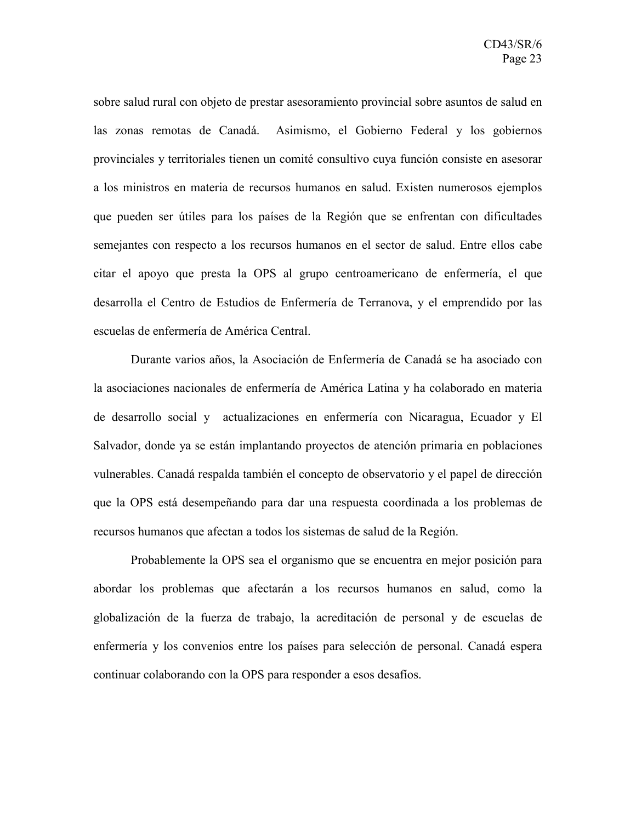sobre salud rural con objeto de prestar asesoramiento provincial sobre asuntos de salud en las zonas remotas de Canadá. Asimismo, el Gobierno Federal y los gobiernos provinciales y territoriales tienen un comité consultivo cuya función consiste en asesorar a los ministros en materia de recursos humanos en salud. Existen numerosos ejemplos que pueden ser útiles para los países de la Región que se enfrentan con dificultades semejantes con respecto a los recursos humanos en el sector de salud. Entre ellos cabe citar el apoyo que presta la OPS al grupo centroamericano de enfermería, el que desarrolla el Centro de Estudios de Enfermería de Terranova, y el emprendido por las escuelas de enfermería de América Central.

Durante varios años, la Asociación de Enfermería de Canadá se ha asociado con la asociaciones nacionales de enfermería de América Latina y ha colaborado en materia de desarrollo social y actualizaciones en enfermería con Nicaragua, Ecuador y El Salvador, donde ya se están implantando proyectos de atención primaria en poblaciones vulnerables. Canadá respalda también el concepto de observatorio y el papel de dirección que la OPS está desempeñando para dar una respuesta coordinada a los problemas de recursos humanos que afectan a todos los sistemas de salud de la Región.

Probablemente la OPS sea el organismo que se encuentra en mejor posición para abordar los problemas que afectarán a los recursos humanos en salud, como la globalización de la fuerza de trabajo, la acreditación de personal y de escuelas de enfermería y los convenios entre los países para selección de personal. Canadá espera continuar colaborando con la OPS para responder a esos desafíos.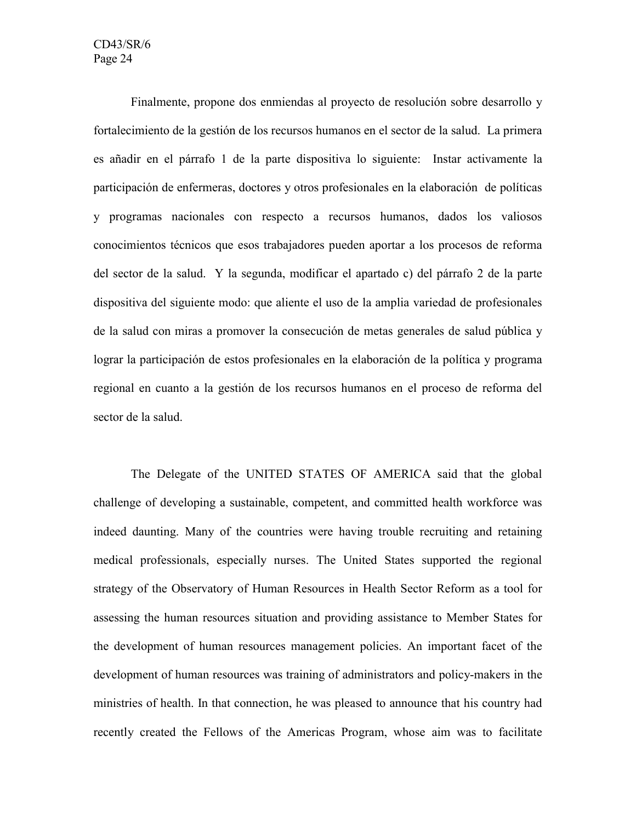Finalmente, propone dos enmiendas al proyecto de resolución sobre desarrollo y fortalecimiento de la gestión de los recursos humanos en el sector de la salud. La primera es añadir en el párrafo 1 de la parte dispositiva lo siguiente: Instar activamente la participación de enfermeras, doctores y otros profesionales en la elaboración de políticas y programas nacionales con respecto a recursos humanos, dados los valiosos conocimientos técnicos que esos trabajadores pueden aportar a los procesos de reforma del sector de la salud. Y la segunda, modificar el apartado c) del párrafo 2 de la parte dispositiva del siguiente modo: que aliente el uso de la amplia variedad de profesionales de la salud con miras a promover la consecución de metas generales de salud pública y lograr la participación de estos profesionales en la elaboración de la política y programa regional en cuanto a la gestión de los recursos humanos en el proceso de reforma del sector de la salud.

The Delegate of the UNITED STATES OF AMERICA said that the global challenge of developing a sustainable, competent, and committed health workforce was indeed daunting. Many of the countries were having trouble recruiting and retaining medical professionals, especially nurses. The United States supported the regional strategy of the Observatory of Human Resources in Health Sector Reform as a tool for assessing the human resources situation and providing assistance to Member States for the development of human resources management policies. An important facet of the development of human resources was training of administrators and policy-makers in the ministries of health. In that connection, he was pleased to announce that his country had recently created the Fellows of the Americas Program, whose aim was to facilitate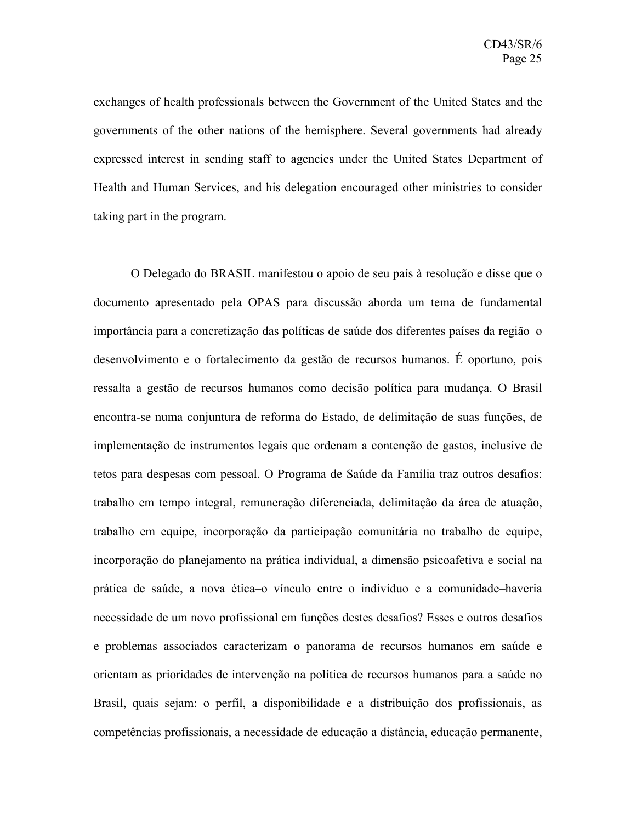exchanges of health professionals between the Government of the United States and the governments of the other nations of the hemisphere. Several governments had already expressed interest in sending staff to agencies under the United States Department of Health and Human Services, and his delegation encouraged other ministries to consider taking part in the program.

O Delegado do BRASIL manifestou o apoio de seu país à resolução e disse que o documento apresentado pela OPAS para discussão aborda um tema de fundamental importância para a concretização das políticas de saúde dos diferentes países da região–o desenvolvimento e o fortalecimento da gestão de recursos humanos. É oportuno, pois ressalta a gestão de recursos humanos como decisão política para mudança. O Brasil encontra-se numa conjuntura de reforma do Estado, de delimitação de suas funções, de implementação de instrumentos legais que ordenam a contenção de gastos, inclusive de tetos para despesas com pessoal. O Programa de Saúde da Família traz outros desafios: trabalho em tempo integral, remuneração diferenciada, delimitação da área de atuação, trabalho em equipe, incorporação da participação comunitária no trabalho de equipe, incorporação do planejamento na prática individual, a dimensão psicoafetiva e social na prática de saúde, a nova ética–o vínculo entre o indivíduo e a comunidade–haveria necessidade de um novo profissional em funções destes desafios? Esses e outros desafios e problemas associados caracterizam o panorama de recursos humanos em saúde e orientam as prioridades de intervenção na política de recursos humanos para a saúde no Brasil, quais sejam: o perfil, a disponibilidade e a distribuição dos profissionais, as competências profissionais, a necessidade de educação a distância, educação permanente,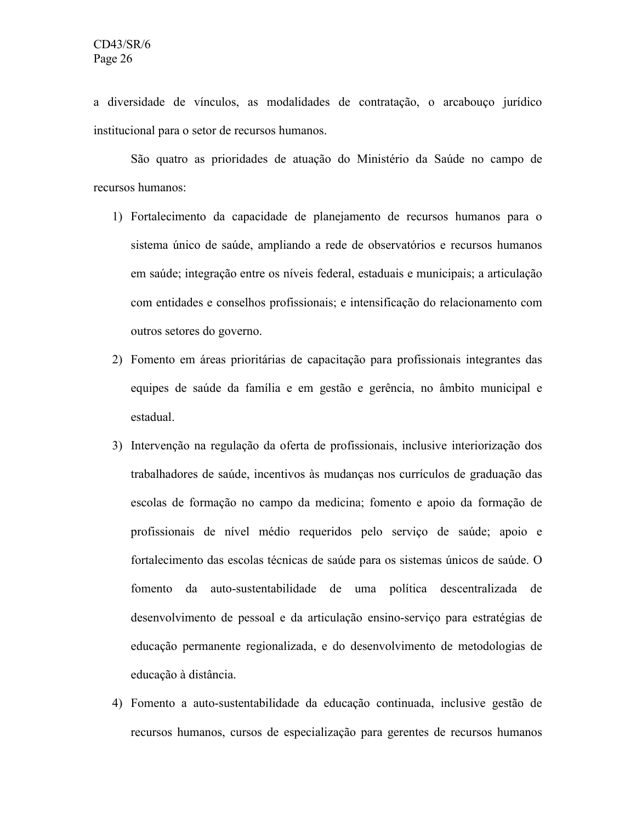a diversidade de vínculos, as modalidades de contratação, o arcabouço jurídico institucional para o setor de recursos humanos.

São quatro as prioridades de atuação do Ministério da Saúde no campo de recursos humanos:

- 1) Fortalecimento da capacidade de planejamento de recursos humanos para o sistema único de saúde, ampliando a rede de observatórios e recursos humanos em saúde; integração entre os níveis federal, estaduais e municipais; a articulação com entidades e conselhos profissionais; e intensificação do relacionamento com outros setores do governo.
- 2) Fomento em áreas prioritárias de capacitação para profissionais integrantes das equipes de saúde da família e em gestão e gerência, no âmbito municipal e estadual.
- 3) Intervenção na regulação da oferta de profissionais, inclusive interiorização dos trabalhadores de saúde, incentivos às mudanças nos currículos de graduação das escolas de formação no campo da medicina; fomento e apoio da formação de profissionais de nível médio requeridos pelo serviço de saúde; apoio e fortalecimento das escolas técnicas de saúde para os sistemas únicos de saúde. O fomento da auto-sustentabilidade de uma política descentralizada de desenvolvimento de pessoal e da articulação ensino-serviço para estratégias de educação permanente regionalizada, e do desenvolvimento de metodologias de educação à distância.
- 4) Fomento a auto-sustentabilidade da educação continuada, inclusive gestão de recursos humanos, cursos de especialização para gerentes de recursos humanos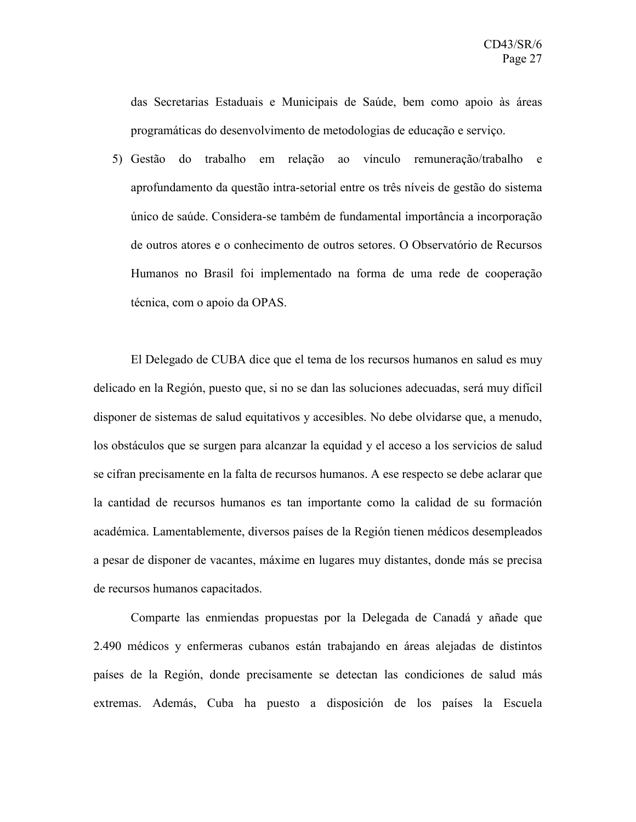das Secretarias Estaduais e Municipais de Saúde, bem como apoio às áreas programáticas do desenvolvimento de metodologias de educação e serviço.

5) Gestão do trabalho em relação ao vínculo remuneração/trabalho e aprofundamento da questão intra-setorial entre os três níveis de gestão do sistema único de saúde. Considera-se também de fundamental importância a incorporação de outros atores e o conhecimento de outros setores. O Observatório de Recursos Humanos no Brasil foi implementado na forma de uma rede de cooperação técnica, com o apoio da OPAS.

El Delegado de CUBA dice que el tema de los recursos humanos en salud es muy delicado en la Región, puesto que, si no se dan las soluciones adecuadas, será muy difícil disponer de sistemas de salud equitativos y accesibles. No debe olvidarse que, a menudo, los obstáculos que se surgen para alcanzar la equidad y el acceso a los servicios de salud se cifran precisamente en la falta de recursos humanos. A ese respecto se debe aclarar que la cantidad de recursos humanos es tan importante como la calidad de su formación académica. Lamentablemente, diversos países de la Región tienen médicos desempleados a pesar de disponer de vacantes, máxime en lugares muy distantes, donde más se precisa de recursos humanos capacitados.

Comparte las enmiendas propuestas por la Delegada de Canadá y añade que 2.490 médicos y enfermeras cubanos están trabajando en áreas alejadas de distintos países de la Región, donde precisamente se detectan las condiciones de salud más extremas. Además, Cuba ha puesto a disposición de los países la Escuela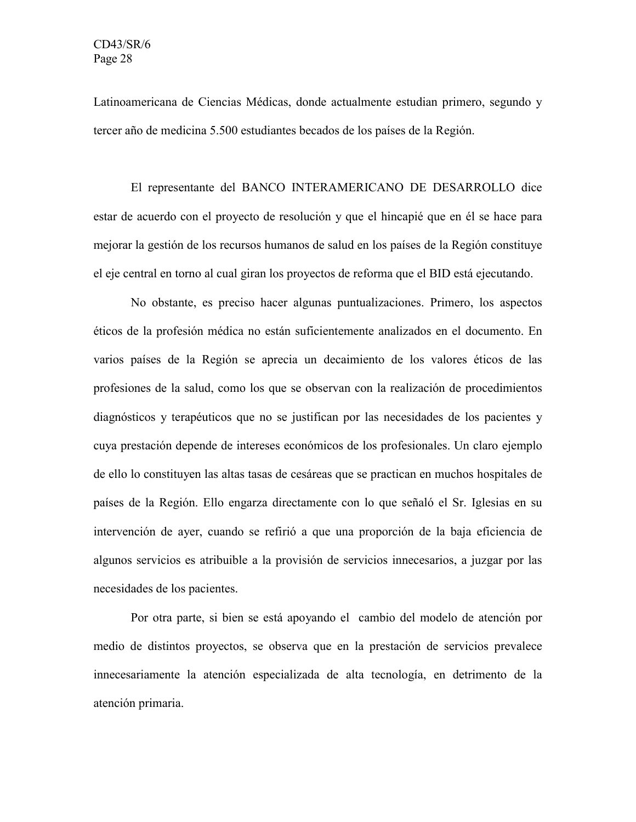Latinoamericana de Ciencias Médicas, donde actualmente estudian primero, segundo y tercer año de medicina 5.500 estudiantes becados de los países de la Región.

El representante del BANCO INTERAMERICANO DE DESARROLLO dice estar de acuerdo con el proyecto de resolución y que el hincapié que en él se hace para mejorar la gestión de los recursos humanos de salud en los países de la Región constituye el eje central en torno al cual giran los proyectos de reforma que el BID está ejecutando.

No obstante, es preciso hacer algunas puntualizaciones. Primero, los aspectos éticos de la profesión médica no están suficientemente analizados en el documento. En varios países de la Región se aprecia un decaimiento de los valores éticos de las profesiones de la salud, como los que se observan con la realización de procedimientos diagnósticos y terapéuticos que no se justifican por las necesidades de los pacientes y cuya prestación depende de intereses económicos de los profesionales. Un claro ejemplo de ello lo constituyen las altas tasas de cesáreas que se practican en muchos hospitales de países de la Región. Ello engarza directamente con lo que señaló el Sr. Iglesias en su intervención de ayer, cuando se refirió a que una proporción de la baja eficiencia de algunos servicios es atribuible a la provisión de servicios innecesarios, a juzgar por las necesidades de los pacientes.

Por otra parte, si bien se está apoyando el cambio del modelo de atención por medio de distintos proyectos, se observa que en la prestación de servicios prevalece innecesariamente la atención especializada de alta tecnología, en detrimento de la atención primaria.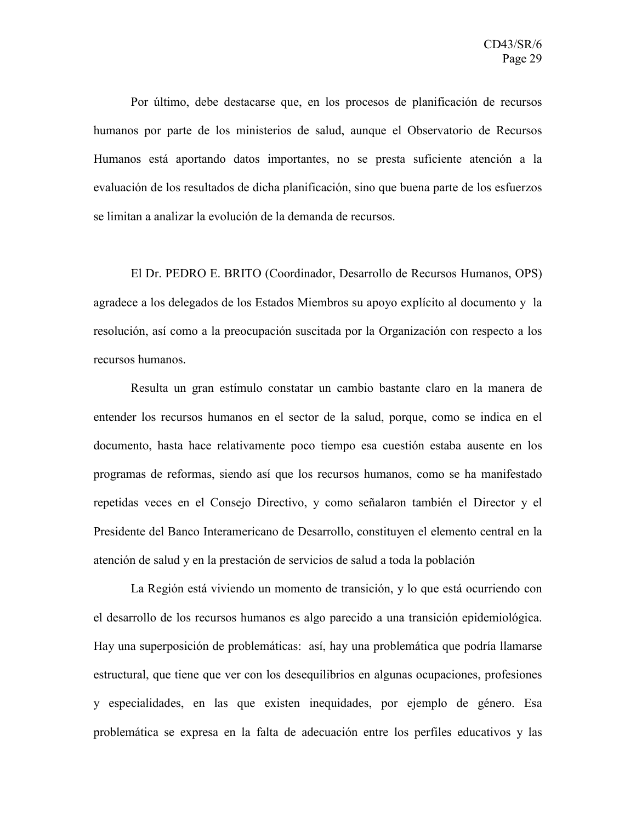Por último, debe destacarse que, en los procesos de planificación de recursos humanos por parte de los ministerios de salud, aunque el Observatorio de Recursos Humanos está aportando datos importantes, no se presta suficiente atención a la evaluación de los resultados de dicha planificación, sino que buena parte de los esfuerzos se limitan a analizar la evolución de la demanda de recursos.

El Dr. PEDRO E. BRITO (Coordinador, Desarrollo de Recursos Humanos, OPS) agradece a los delegados de los Estados Miembros su apoyo explícito al documento y la resolución, así como a la preocupación suscitada por la Organización con respecto a los recursos humanos.

Resulta un gran estímulo constatar un cambio bastante claro en la manera de entender los recursos humanos en el sector de la salud, porque, como se indica en el documento, hasta hace relativamente poco tiempo esa cuestión estaba ausente en los programas de reformas, siendo así que los recursos humanos, como se ha manifestado repetidas veces en el Consejo Directivo, y como señalaron también el Director y el Presidente del Banco Interamericano de Desarrollo, constituyen el elemento central en la atención de salud y en la prestación de servicios de salud a toda la población

La Región está viviendo un momento de transición, y lo que está ocurriendo con el desarrollo de los recursos humanos es algo parecido a una transición epidemiológica. Hay una superposición de problemáticas: así, hay una problemática que podría llamarse estructural, que tiene que ver con los desequilibrios en algunas ocupaciones, profesiones y especialidades, en las que existen inequidades, por ejemplo de género. Esa problemática se expresa en la falta de adecuación entre los perfiles educativos y las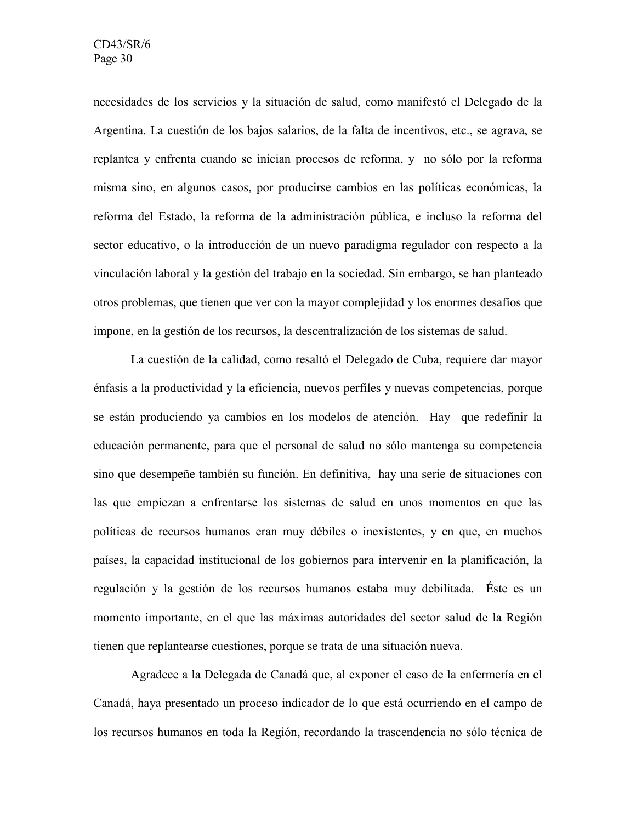necesidades de los servicios y la situación de salud, como manifestó el Delegado de la Argentina. La cuestión de los bajos salarios, de la falta de incentivos, etc., se agrava, se replantea y enfrenta cuando se inician procesos de reforma, y no sólo por la reforma misma sino, en algunos casos, por producirse cambios en las políticas económicas, la reforma del Estado, la reforma de la administración pública, e incluso la reforma del sector educativo, o la introducción de un nuevo paradigma regulador con respecto a la vinculación laboral y la gestión del trabajo en la sociedad. Sin embargo, se han planteado otros problemas, que tienen que ver con la mayor complejidad y los enormes desafíos que impone, en la gestión de los recursos, la descentralización de los sistemas de salud.

La cuestión de la calidad, como resaltó el Delegado de Cuba, requiere dar mayor énfasis a la productividad y la eficiencia, nuevos perfiles y nuevas competencias, porque se están produciendo ya cambios en los modelos de atención. Hay que redefinir la educación permanente, para que el personal de salud no sólo mantenga su competencia sino que desempeñe también su función. En definitiva, hay una serie de situaciones con las que empiezan a enfrentarse los sistemas de salud en unos momentos en que las políticas de recursos humanos eran muy débiles o inexistentes, y en que, en muchos países, la capacidad institucional de los gobiernos para intervenir en la planificación, la regulación y la gestión de los recursos humanos estaba muy debilitada. Éste es un momento importante, en el que las máximas autoridades del sector salud de la Región tienen que replantearse cuestiones, porque se trata de una situación nueva.

Agradece a la Delegada de Canadá que, al exponer el caso de la enfermería en el Canadá, haya presentado un proceso indicador de lo que está ocurriendo en el campo de los recursos humanos en toda la Región, recordando la trascendencia no sólo técnica de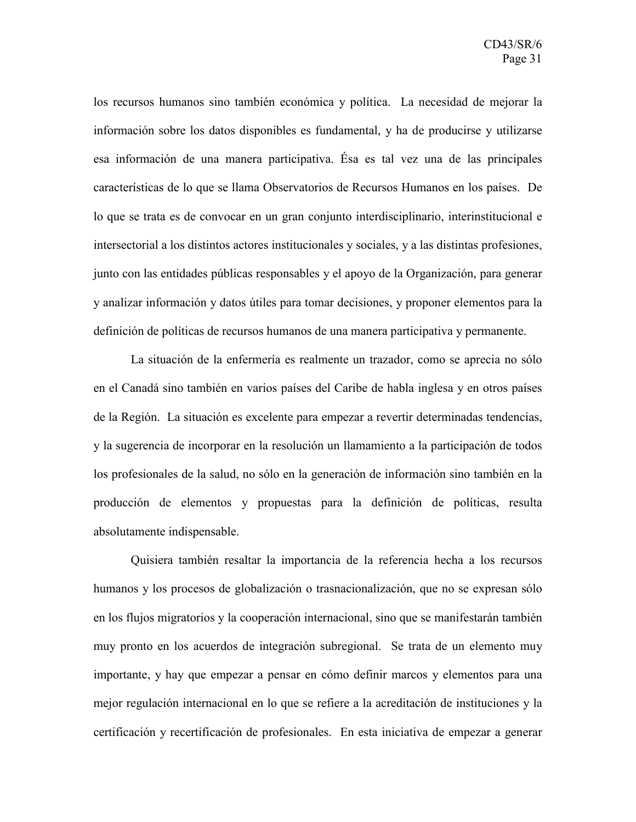los recursos humanos sino también económica y política. La necesidad de mejorar la información sobre los datos disponibles es fundamental, y ha de producirse y utilizarse esa información de una manera participativa. Ésa es tal vez una de las principales características de lo que se llama Observatorios de Recursos Humanos en los países. De lo que se trata es de convocar en un gran conjunto interdisciplinario, interinstitucional e intersectorial a los distintos actores institucionales y sociales, y a las distintas profesiones, junto con las entidades públicas responsables y el apoyo de la Organización, para generar y analizar información y datos útiles para tomar decisiones, y proponer elementos para la definición de políticas de recursos humanos de una manera participativa y permanente.

La situación de la enfermería es realmente un trazador, como se aprecia no sólo en el Canadá sino también en varios países del Caribe de habla inglesa y en otros países de la Región. La situación es excelente para empezar a revertir determinadas tendencias, y la sugerencia de incorporar en la resolución un llamamiento a la participación de todos los profesionales de la salud, no sólo en la generación de información sino también en la producción de elementos y propuestas para la definición de políticas, resulta absolutamente indispensable.

Quisiera también resaltar la importancia de la referencia hecha a los recursos humanos y los procesos de globalización o trasnacionalización, que no se expresan sólo en los flujos migratorios y la cooperación internacional, sino que se manifestarán también muy pronto en los acuerdos de integración subregional. Se trata de un elemento muy importante, y hay que empezar a pensar en cómo definir marcos y elementos para una mejor regulación internacional en lo que se refiere a la acreditación de instituciones y la certificación y recertificación de profesionales. En esta iniciativa de empezar a generar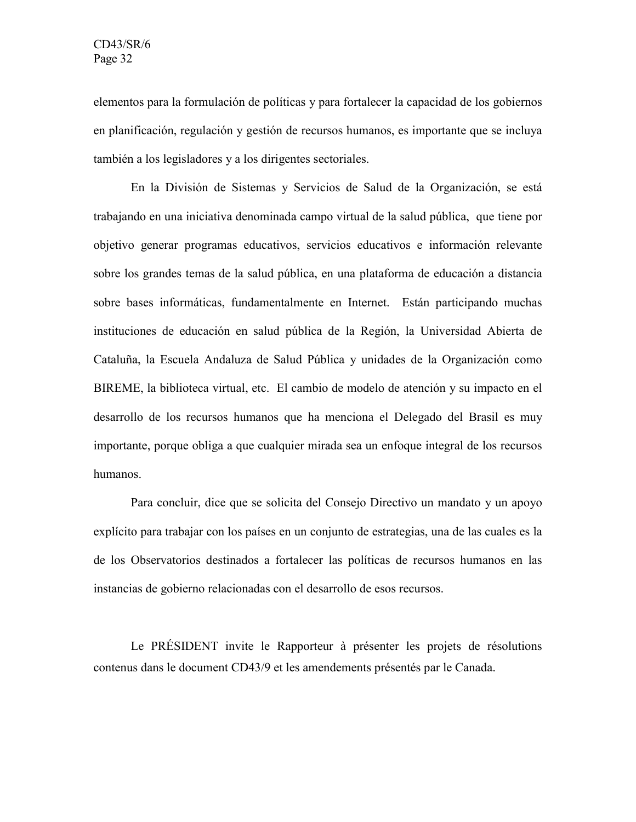elementos para la formulación de políticas y para fortalecer la capacidad de los gobiernos en planificación, regulación y gestión de recursos humanos, es importante que se incluya también a los legisladores y a los dirigentes sectoriales.

En la División de Sistemas y Servicios de Salud de la Organización, se está trabajando en una iniciativa denominada campo virtual de la salud pública, que tiene por objetivo generar programas educativos, servicios educativos e información relevante sobre los grandes temas de la salud pública, en una plataforma de educación a distancia sobre bases informáticas, fundamentalmente en Internet. Están participando muchas instituciones de educación en salud pública de la Región, la Universidad Abierta de Cataluña, la Escuela Andaluza de Salud Pública y unidades de la Organización como BIREME, la biblioteca virtual, etc. El cambio de modelo de atención y su impacto en el desarrollo de los recursos humanos que ha menciona el Delegado del Brasil es muy importante, porque obliga a que cualquier mirada sea un enfoque integral de los recursos humanos.

Para concluir, dice que se solicita del Consejo Directivo un mandato y un apoyo explícito para trabajar con los países en un conjunto de estrategias, una de las cuales es la de los Observatorios destinados a fortalecer las políticas de recursos humanos en las instancias de gobierno relacionadas con el desarrollo de esos recursos.

Le PRÉSIDENT invite le Rapporteur à présenter les projets de résolutions contenus dans le document CD43/9 et les amendements présentés par le Canada.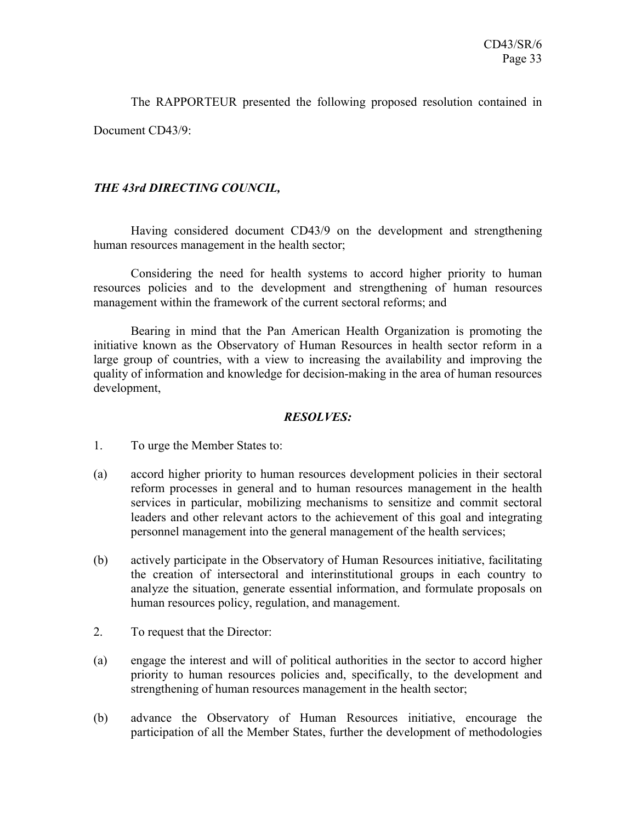The RAPPORTEUR presented the following proposed resolution contained in

Document CD43/9:

## *THE 43rd DIRECTING COUNCIL,*

Having considered document CD43/9 on the development and strengthening human resources management in the health sector;

Considering the need for health systems to accord higher priority to human resources policies and to the development and strengthening of human resources management within the framework of the current sectoral reforms; and

Bearing in mind that the Pan American Health Organization is promoting the initiative known as the Observatory of Human Resources in health sector reform in a large group of countries, with a view to increasing the availability and improving the quality of information and knowledge for decision-making in the area of human resources development,

#### *RESOLVES:*

- 1. To urge the Member States to:
- (a) accord higher priority to human resources development policies in their sectoral reform processes in general and to human resources management in the health services in particular, mobilizing mechanisms to sensitize and commit sectoral leaders and other relevant actors to the achievement of this goal and integrating personnel management into the general management of the health services;
- (b) actively participate in the Observatory of Human Resources initiative, facilitating the creation of intersectoral and interinstitutional groups in each country to analyze the situation, generate essential information, and formulate proposals on human resources policy, regulation, and management.
- 2. To request that the Director:
- (a) engage the interest and will of political authorities in the sector to accord higher priority to human resources policies and, specifically, to the development and strengthening of human resources management in the health sector;
- (b) advance the Observatory of Human Resources initiative, encourage the participation of all the Member States, further the development of methodologies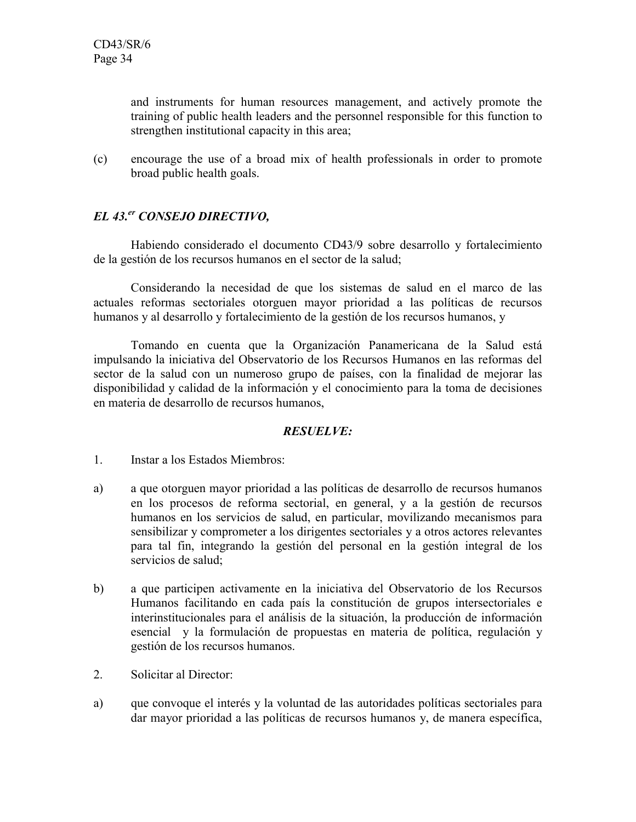and instruments for human resources management, and actively promote the training of public health leaders and the personnel responsible for this function to strengthen institutional capacity in this area;

(c) encourage the use of a broad mix of health professionals in order to promote broad public health goals.

# *EL 43.er CONSEJO DIRECTIVO,*

Habiendo considerado el documento CD43/9 sobre desarrollo y fortalecimiento de la gestión de los recursos humanos en el sector de la salud;

Considerando la necesidad de que los sistemas de salud en el marco de las actuales reformas sectoriales otorguen mayor prioridad a las políticas de recursos humanos y al desarrollo y fortalecimiento de la gestión de los recursos humanos, y

Tomando en cuenta que la Organización Panamericana de la Salud está impulsando la iniciativa del Observatorio de los Recursos Humanos en las reformas del sector de la salud con un numeroso grupo de países, con la finalidad de mejorar las disponibilidad y calidad de la información y el conocimiento para la toma de decisiones en materia de desarrollo de recursos humanos,

## *RESUELVE:*

- 1. Instar a los Estados Miembros:
- a) a que otorguen mayor prioridad a las políticas de desarrollo de recursos humanos en los procesos de reforma sectorial, en general, y a la gestión de recursos humanos en los servicios de salud, en particular, movilizando mecanismos para sensibilizar y comprometer a los dirigentes sectoriales y a otros actores relevantes para tal fin, integrando la gestión del personal en la gestión integral de los servicios de salud;
- b) a que participen activamente en la iniciativa del Observatorio de los Recursos Humanos facilitando en cada país la constitución de grupos intersectoriales e interinstitucionales para el análisis de la situación, la producción de información esencial y la formulación de propuestas en materia de política, regulación y gestión de los recursos humanos.
- 2. Solicitar al Director:
- a) que convoque el interés y la voluntad de las autoridades políticas sectoriales para dar mayor prioridad a las políticas de recursos humanos y, de manera específica,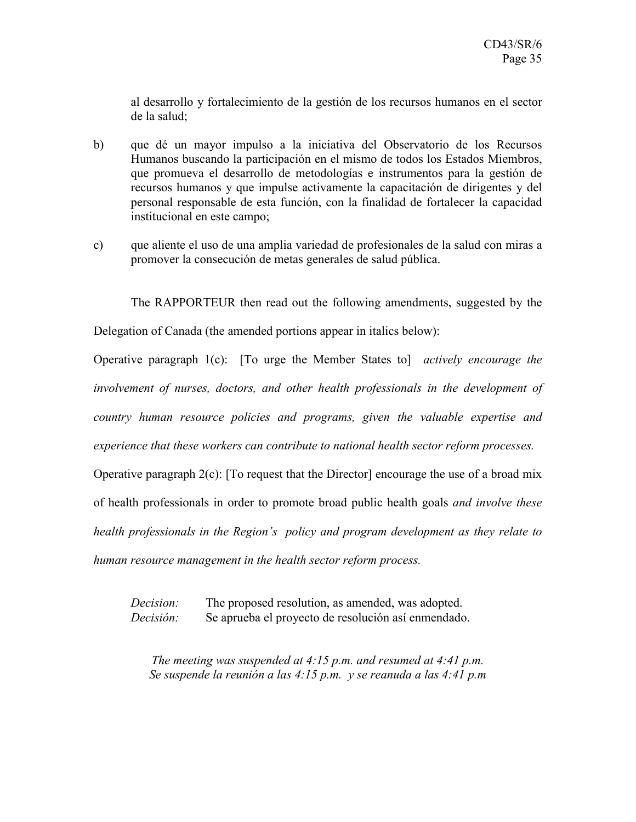al desarrollo y fortalecimiento de la gestión de los recursos humanos en el sector de la salud;

- b) que dé un mayor impulso a la iniciativa del Observatorio de los Recursos Humanos buscando la participación en el mismo de todos los Estados Miembros, que promueva el desarrollo de metodologías e instrumentos para la gestión de recursos humanos y que impulse activamente la capacitación de dirigentes y del personal responsable de esta función, con la finalidad de fortalecer la capacidad institucional en este campo;
- c) que aliente el uso de una amplia variedad de profesionales de la salud con miras a promover la consecución de metas generales de salud pública.

The RAPPORTEUR then read out the following amendments, suggested by the

Delegation of Canada (the amended portions appear in italics below):

Operative paragraph 1(c): [To urge the Member States to] *actively encourage the involvement of nurses, doctors, and other health professionals in the development of country human resource policies and programs, given the valuable expertise and experience that these workers can contribute to national health sector reform processes.*

Operative paragraph  $2(c)$ : [To request that the Director] encourage the use of a broad mix of health professionals in order to promote broad public health goals *and involve these health professionals in the Region's policy and program development as they relate to*

*human resource management in the health sector reform process.*

*Decision:* The proposed resolution, as amended, was adopted. *Decisión:* Se aprueba el proyecto de resolución así enmendado.

*The meeting was suspended at 4:15 p.m. and resumed at 4:41 p.m. Se suspende la reunión a las 4:15 p.m. y se reanuda a las 4:41 p.m*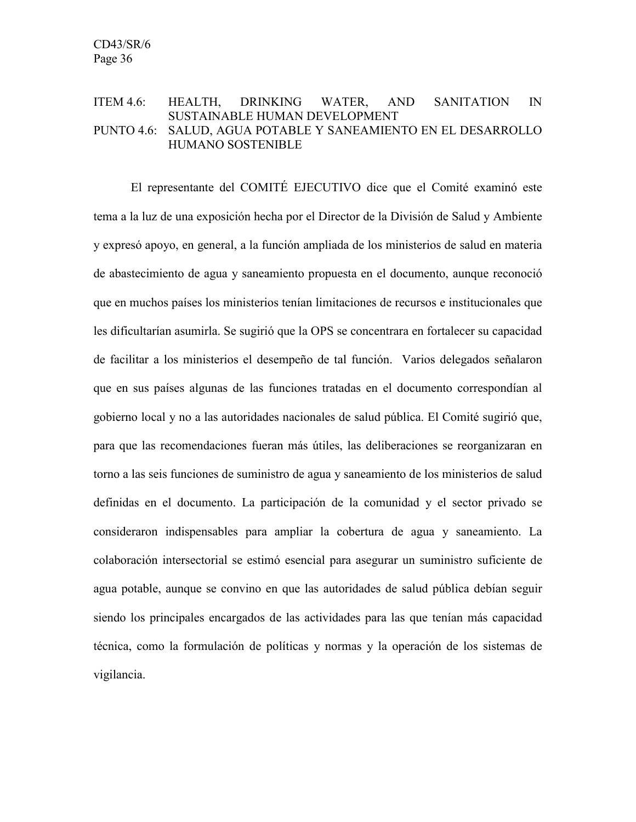#### ITEM 4.6: HEALTH, DRINKING WATER, AND SANITATION IN SUSTAINABLE HUMAN DEVELOPMENT PUNTO 4.6: SALUD, AGUA POTABLE Y SANEAMIENTO EN EL DESARROLLO HUMANO SOSTENIBLE

El representante del COMITÉ EJECUTIVO dice que el Comité examinó este tema a la luz de una exposición hecha por el Director de la División de Salud y Ambiente y expresó apoyo, en general, a la función ampliada de los ministerios de salud en materia de abastecimiento de agua y saneamiento propuesta en el documento, aunque reconoció que en muchos países los ministerios tenían limitaciones de recursos e institucionales que les dificultarían asumirla. Se sugirió que la OPS se concentrara en fortalecer su capacidad de facilitar a los ministerios el desempeño de tal función. Varios delegados señalaron que en sus países algunas de las funciones tratadas en el documento correspondían al gobierno local y no a las autoridades nacionales de salud pública. El Comité sugirió que, para que las recomendaciones fueran más útiles, las deliberaciones se reorganizaran en torno a las seis funciones de suministro de agua y saneamiento de los ministerios de salud definidas en el documento. La participación de la comunidad y el sector privado se consideraron indispensables para ampliar la cobertura de agua y saneamiento. La colaboración intersectorial se estimó esencial para asegurar un suministro suficiente de agua potable, aunque se convino en que las autoridades de salud pública debían seguir siendo los principales encargados de las actividades para las que tenían más capacidad técnica, como la formulación de políticas y normas y la operación de los sistemas de vigilancia.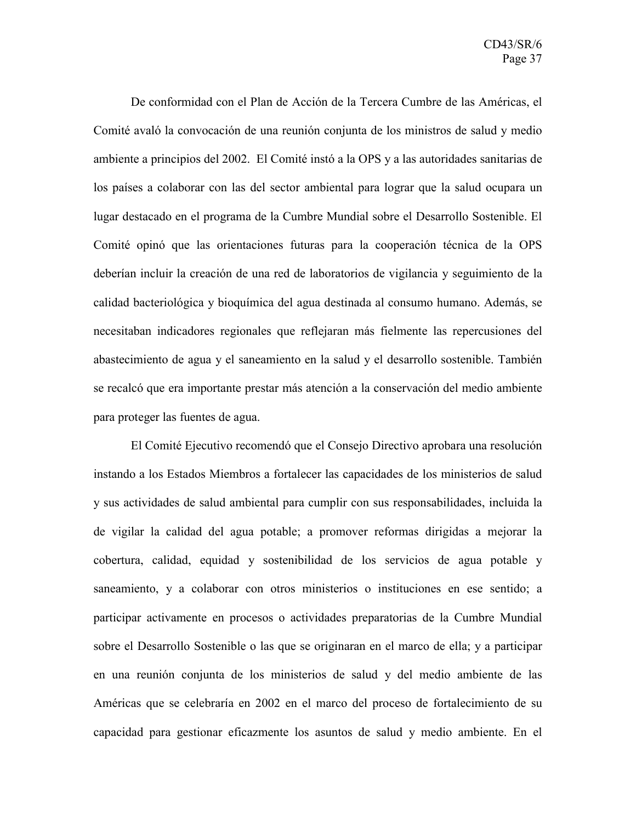De conformidad con el Plan de Acción de la Tercera Cumbre de las Américas, el Comité avaló la convocación de una reunión conjunta de los ministros de salud y medio ambiente a principios del 2002. El Comité instó a la OPS y a las autoridades sanitarias de los países a colaborar con las del sector ambiental para lograr que la salud ocupara un lugar destacado en el programa de la Cumbre Mundial sobre el Desarrollo Sostenible. El Comité opinó que las orientaciones futuras para la cooperación técnica de la OPS deberían incluir la creación de una red de laboratorios de vigilancia y seguimiento de la calidad bacteriológica y bioquímica del agua destinada al consumo humano. Además, se necesitaban indicadores regionales que reflejaran más fielmente las repercusiones del abastecimiento de agua y el saneamiento en la salud y el desarrollo sostenible. También se recalcó que era importante prestar más atención a la conservación del medio ambiente para proteger las fuentes de agua.

El Comité Ejecutivo recomendó que el Consejo Directivo aprobara una resolución instando a los Estados Miembros a fortalecer las capacidades de los ministerios de salud y sus actividades de salud ambiental para cumplir con sus responsabilidades, incluida la de vigilar la calidad del agua potable; a promover reformas dirigidas a mejorar la cobertura, calidad, equidad y sostenibilidad de los servicios de agua potable y saneamiento, y a colaborar con otros ministerios o instituciones en ese sentido; a participar activamente en procesos o actividades preparatorias de la Cumbre Mundial sobre el Desarrollo Sostenible o las que se originaran en el marco de ella; y a participar en una reunión conjunta de los ministerios de salud y del medio ambiente de las Américas que se celebraría en 2002 en el marco del proceso de fortalecimiento de su capacidad para gestionar eficazmente los asuntos de salud y medio ambiente. En el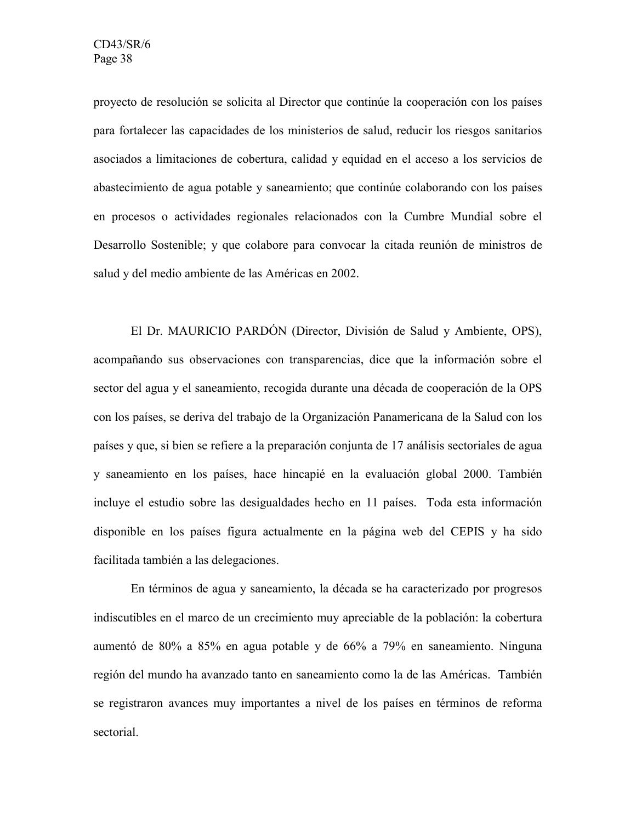proyecto de resolución se solicita al Director que continúe la cooperación con los países para fortalecer las capacidades de los ministerios de salud, reducir los riesgos sanitarios asociados a limitaciones de cobertura, calidad y equidad en el acceso a los servicios de abastecimiento de agua potable y saneamiento; que continúe colaborando con los países en procesos o actividades regionales relacionados con la Cumbre Mundial sobre el Desarrollo Sostenible; y que colabore para convocar la citada reunión de ministros de salud y del medio ambiente de las Américas en 2002.

El Dr. MAURICIO PARDÓN (Director, División de Salud y Ambiente, OPS), acompañando sus observaciones con transparencias, dice que la información sobre el sector del agua y el saneamiento, recogida durante una década de cooperación de la OPS con los países, se deriva del trabajo de la Organización Panamericana de la Salud con los países y que, si bien se refiere a la preparación conjunta de 17 análisis sectoriales de agua y saneamiento en los países, hace hincapié en la evaluación global 2000. También incluye el estudio sobre las desigualdades hecho en 11 países. Toda esta información disponible en los países figura actualmente en la página web del CEPIS y ha sido facilitada también a las delegaciones.

En términos de agua y saneamiento, la década se ha caracterizado por progresos indiscutibles en el marco de un crecimiento muy apreciable de la población: la cobertura aumentó de 80% a 85% en agua potable y de 66% a 79% en saneamiento. Ninguna región del mundo ha avanzado tanto en saneamiento como la de las Américas. También se registraron avances muy importantes a nivel de los países en términos de reforma sectorial.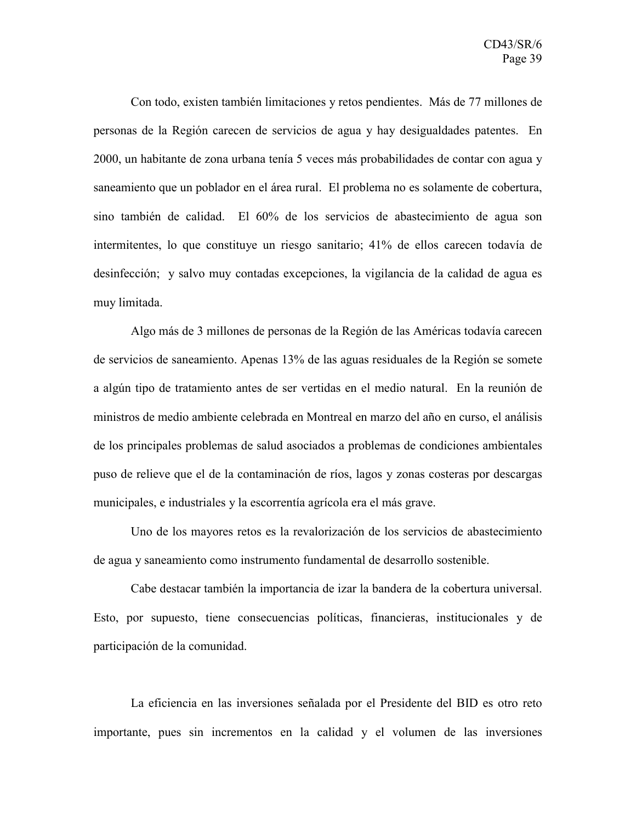Con todo, existen también limitaciones y retos pendientes. Más de 77 millones de personas de la Región carecen de servicios de agua y hay desigualdades patentes. En 2000, un habitante de zona urbana tenía 5 veces más probabilidades de contar con agua y saneamiento que un poblador en el área rural. El problema no es solamente de cobertura, sino también de calidad. El 60% de los servicios de abastecimiento de agua son intermitentes, lo que constituye un riesgo sanitario; 41% de ellos carecen todavía de desinfección; y salvo muy contadas excepciones, la vigilancia de la calidad de agua es muy limitada.

Algo más de 3 millones de personas de la Región de las Américas todavía carecen de servicios de saneamiento. Apenas 13% de las aguas residuales de la Región se somete a algún tipo de tratamiento antes de ser vertidas en el medio natural. En la reunión de ministros de medio ambiente celebrada en Montreal en marzo del año en curso, el análisis de los principales problemas de salud asociados a problemas de condiciones ambientales puso de relieve que el de la contaminación de ríos, lagos y zonas costeras por descargas municipales, e industriales y la escorrentía agrícola era el más grave.

Uno de los mayores retos es la revalorización de los servicios de abastecimiento de agua y saneamiento como instrumento fundamental de desarrollo sostenible.

Cabe destacar también la importancia de izar la bandera de la cobertura universal. Esto, por supuesto, tiene consecuencias políticas, financieras, institucionales y de participación de la comunidad.

La eficiencia en las inversiones señalada por el Presidente del BID es otro reto importante, pues sin incrementos en la calidad y el volumen de las inversiones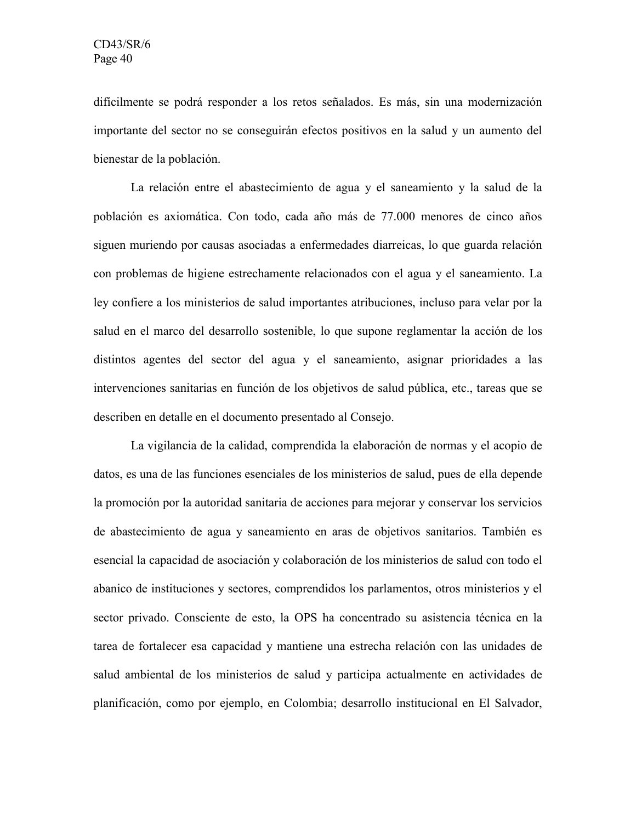difícilmente se podrá responder a los retos señalados. Es más, sin una modernización importante del sector no se conseguirán efectos positivos en la salud y un aumento del bienestar de la población.

La relación entre el abastecimiento de agua y el saneamiento y la salud de la población es axiomática. Con todo, cada año más de 77.000 menores de cinco años siguen muriendo por causas asociadas a enfermedades diarreicas, lo que guarda relación con problemas de higiene estrechamente relacionados con el agua y el saneamiento. La ley confiere a los ministerios de salud importantes atribuciones, incluso para velar por la salud en el marco del desarrollo sostenible, lo que supone reglamentar la acción de los distintos agentes del sector del agua y el saneamiento, asignar prioridades a las intervenciones sanitarias en función de los objetivos de salud pública, etc., tareas que se describen en detalle en el documento presentado al Consejo.

La vigilancia de la calidad, comprendida la elaboración de normas y el acopio de datos, es una de las funciones esenciales de los ministerios de salud, pues de ella depende la promoción por la autoridad sanitaria de acciones para mejorar y conservar los servicios de abastecimiento de agua y saneamiento en aras de objetivos sanitarios. También es esencial la capacidad de asociación y colaboración de los ministerios de salud con todo el abanico de instituciones y sectores, comprendidos los parlamentos, otros ministerios y el sector privado. Consciente de esto, la OPS ha concentrado su asistencia técnica en la tarea de fortalecer esa capacidad y mantiene una estrecha relación con las unidades de salud ambiental de los ministerios de salud y participa actualmente en actividades de planificación, como por ejemplo, en Colombia; desarrollo institucional en El Salvador,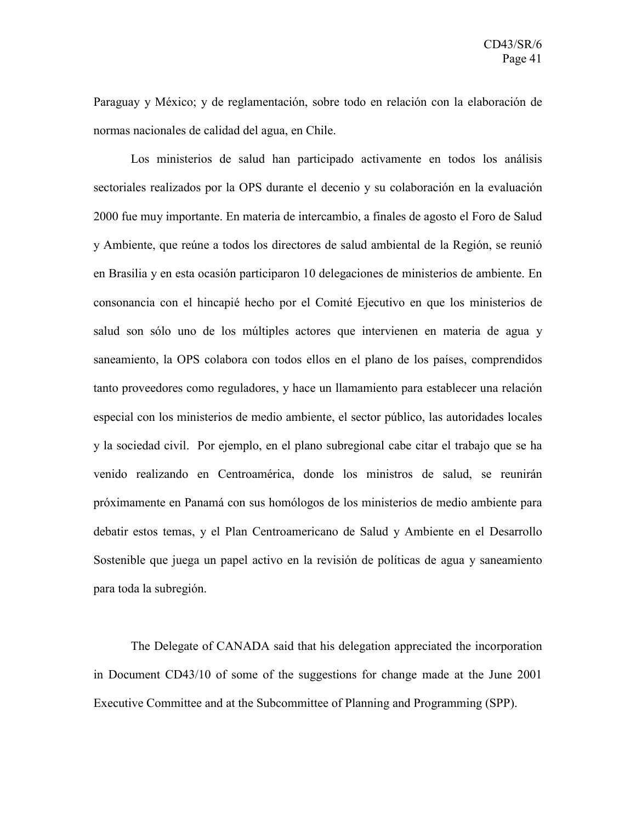Paraguay y México; y de reglamentación, sobre todo en relación con la elaboración de normas nacionales de calidad del agua, en Chile.

Los ministerios de salud han participado activamente en todos los análisis sectoriales realizados por la OPS durante el decenio y su colaboración en la evaluación 2000 fue muy importante. En materia de intercambio, a finales de agosto el Foro de Salud y Ambiente, que reúne a todos los directores de salud ambiental de la Región, se reunió en Brasilia y en esta ocasión participaron 10 delegaciones de ministerios de ambiente. En consonancia con el hincapié hecho por el Comité Ejecutivo en que los ministerios de salud son sólo uno de los múltiples actores que intervienen en materia de agua y saneamiento, la OPS colabora con todos ellos en el plano de los países, comprendidos tanto proveedores como reguladores, y hace un llamamiento para establecer una relación especial con los ministerios de medio ambiente, el sector público, las autoridades locales y la sociedad civil. Por ejemplo, en el plano subregional cabe citar el trabajo que se ha venido realizando en Centroamérica, donde los ministros de salud, se reunirán próximamente en Panamá con sus homólogos de los ministerios de medio ambiente para debatir estos temas, y el Plan Centroamericano de Salud y Ambiente en el Desarrollo Sostenible que juega un papel activo en la revisión de políticas de agua y saneamiento para toda la subregión.

The Delegate of CANADA said that his delegation appreciated the incorporation in Document CD43/10 of some of the suggestions for change made at the June 2001 Executive Committee and at the Subcommittee of Planning and Programming (SPP).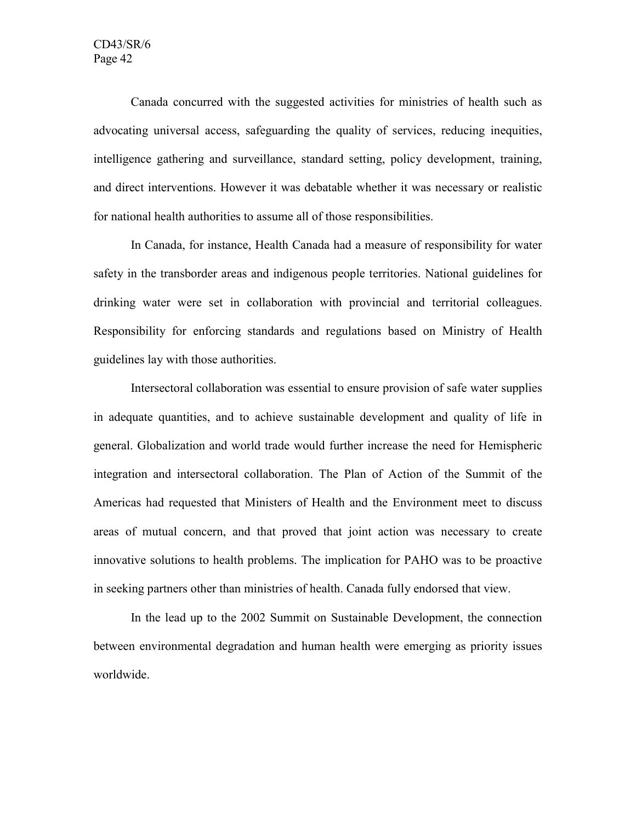Canada concurred with the suggested activities for ministries of health such as advocating universal access, safeguarding the quality of services, reducing inequities, intelligence gathering and surveillance, standard setting, policy development, training, and direct interventions. However it was debatable whether it was necessary or realistic for national health authorities to assume all of those responsibilities.

In Canada, for instance, Health Canada had a measure of responsibility for water safety in the transborder areas and indigenous people territories. National guidelines for drinking water were set in collaboration with provincial and territorial colleagues. Responsibility for enforcing standards and regulations based on Ministry of Health guidelines lay with those authorities.

Intersectoral collaboration was essential to ensure provision of safe water supplies in adequate quantities, and to achieve sustainable development and quality of life in general. Globalization and world trade would further increase the need for Hemispheric integration and intersectoral collaboration. The Plan of Action of the Summit of the Americas had requested that Ministers of Health and the Environment meet to discuss areas of mutual concern, and that proved that joint action was necessary to create innovative solutions to health problems. The implication for PAHO was to be proactive in seeking partners other than ministries of health. Canada fully endorsed that view.

In the lead up to the 2002 Summit on Sustainable Development, the connection between environmental degradation and human health were emerging as priority issues worldwide.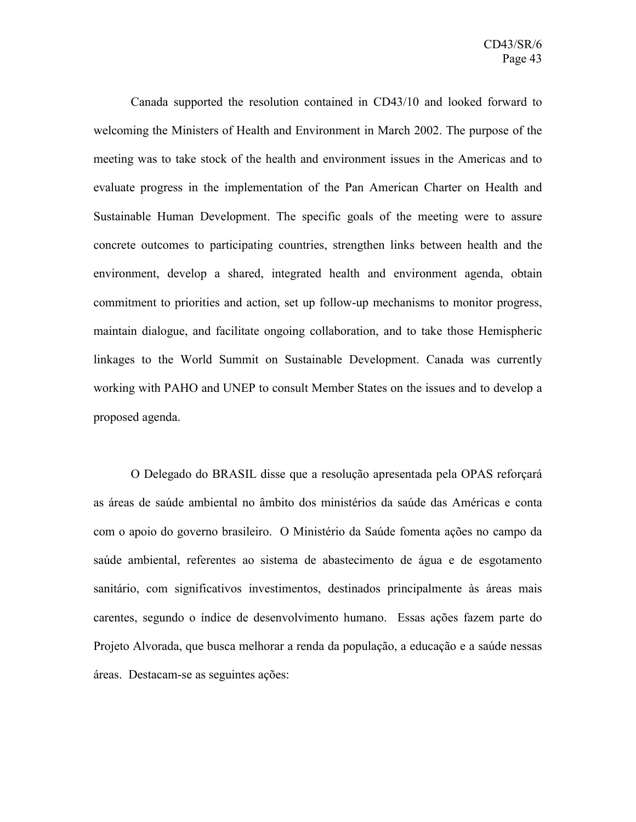Canada supported the resolution contained in CD43/10 and looked forward to welcoming the Ministers of Health and Environment in March 2002. The purpose of the meeting was to take stock of the health and environment issues in the Americas and to evaluate progress in the implementation of the Pan American Charter on Health and Sustainable Human Development. The specific goals of the meeting were to assure concrete outcomes to participating countries, strengthen links between health and the environment, develop a shared, integrated health and environment agenda, obtain commitment to priorities and action, set up follow-up mechanisms to monitor progress, maintain dialogue, and facilitate ongoing collaboration, and to take those Hemispheric linkages to the World Summit on Sustainable Development. Canada was currently working with PAHO and UNEP to consult Member States on the issues and to develop a proposed agenda.

O Delegado do BRASIL disse que a resolução apresentada pela OPAS reforçará as áreas de saúde ambiental no âmbito dos ministérios da saúde das Américas e conta com o apoio do governo brasileiro. O Ministério da Saúde fomenta ações no campo da saúde ambiental, referentes ao sistema de abastecimento de água e de esgotamento sanitário, com significativos investimentos, destinados principalmente às áreas mais carentes, segundo o índice de desenvolvimento humano. Essas ações fazem parte do Projeto Alvorada, que busca melhorar a renda da população, a educação e a saúde nessas áreas. Destacam-se as seguintes ações: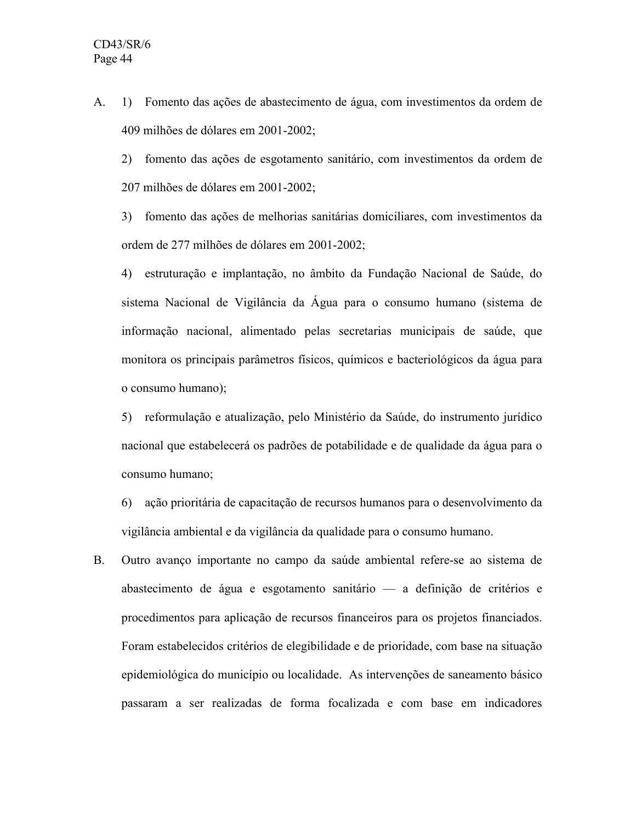A. 1) Fomento das ações de abastecimento de água, com investimentos da ordem de 409 milhões de dólares em 2001-2002;

2) fomento das ações de esgotamento sanitário, com investimentos da ordem de 207 milhões de dólares em 2001-2002;

3) fomento das ações de melhorias sanitárias domiciliares, com investimentos da ordem de 277 milhões de dólares em 2001-2002;

4) estruturação e implantação, no âmbito da Fundação Nacional de Saúde, do sistema Nacional de Vigilância da Água para o consumo humano (sistema de informação nacional, alimentado pelas secretarias municipais de saúde, que monitora os principais parâmetros físicos, químicos e bacteriológicos da água para o consumo humano);

5) reformulação e atualização, pelo Ministério da Saúde, do instrumento jurídico nacional que estabelecerá os padrões de potabilidade e de qualidade da água para o consumo humano;

6) ação prioritária de capacitação de recursos humanos para o desenvolvimento da vigilância ambiental e da vigilância da qualidade para o consumo humano.

B. Outro avanço importante no campo da saúde ambiental refere-se ao sistema de abastecimento de água e esgotamento sanitário — a definição de critérios e procedimentos para aplicação de recursos financeiros para os projetos financiados. Foram estabelecidos critérios de elegibilidade e de prioridade, com base na situação epidemiológica do município ou localidade. As intervenções de saneamento básico passaram a ser realizadas de forma focalizada e com base em indicadores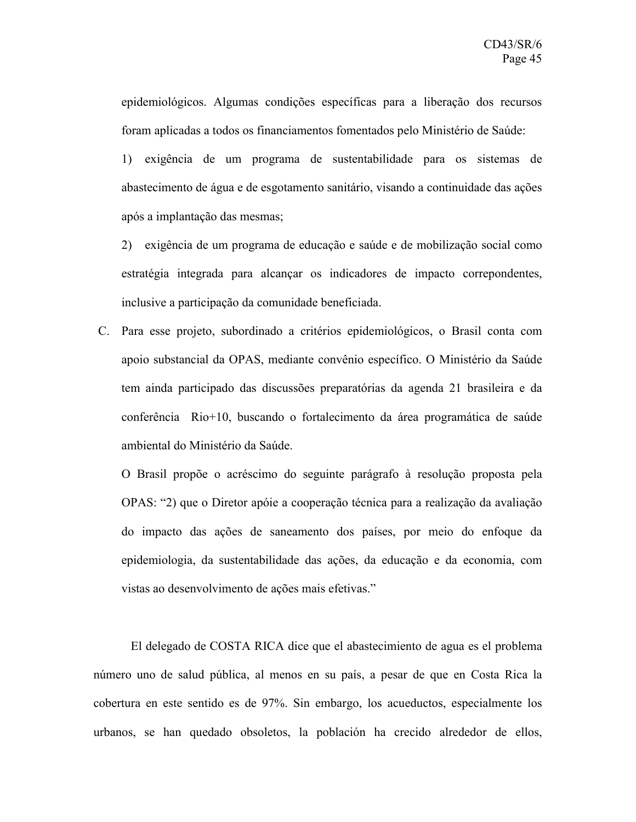epidemiológicos. Algumas condições específicas para a liberação dos recursos foram aplicadas a todos os financiamentos fomentados pelo Ministério de Saúde:

1) exigência de um programa de sustentabilidade para os sistemas de abastecimento de água e de esgotamento sanitário, visando a continuidade das ações após a implantação das mesmas;

2) exigência de um programa de educação e saúde e de mobilização social como estratégia integrada para alcançar os indicadores de impacto correpondentes, inclusive a participação da comunidade beneficiada.

C. Para esse projeto, subordinado a critérios epidemiológicos, o Brasil conta com apoio substancial da OPAS, mediante convênio específico. O Ministério da Saúde tem ainda participado das discussões preparatórias da agenda 21 brasileira e da conferência Rio+10, buscando o fortalecimento da área programática de saúde ambiental do Ministério da Saúde.

O Brasil propõe o acréscimo do seguinte parágrafo à resolução proposta pela OPAS: "2) que o Diretor apóie a cooperação técnica para a realização da avaliação do impacto das ações de saneamento dos países, por meio do enfoque da epidemiologia, da sustentabilidade das ações, da educação e da economia, com vistas ao desenvolvimento de ações mais efetivas."

El delegado de COSTA RICA dice que el abastecimiento de agua es el problema número uno de salud pública, al menos en su país, a pesar de que en Costa Rica la cobertura en este sentido es de 97%. Sin embargo, los acueductos, especialmente los urbanos, se han quedado obsoletos, la población ha crecido alrededor de ellos,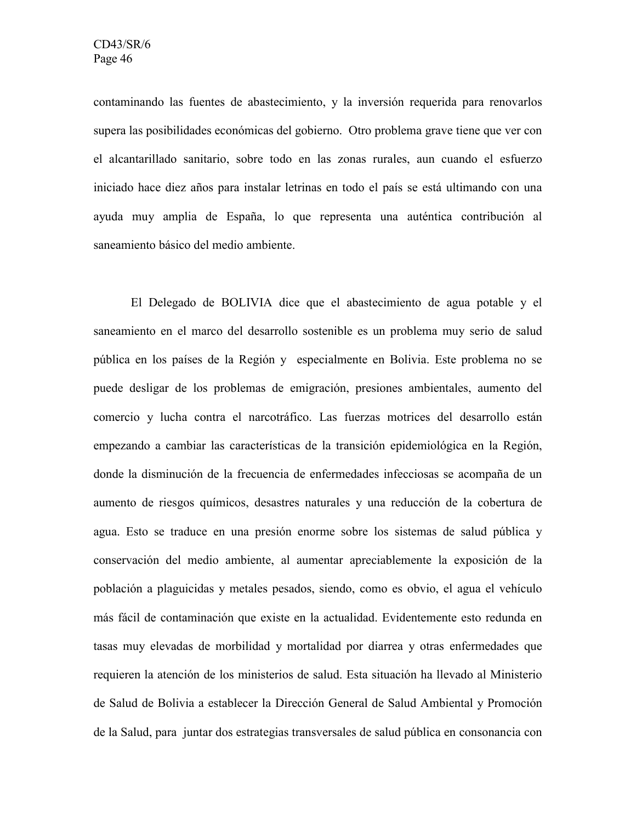contaminando las fuentes de abastecimiento, y la inversión requerida para renovarlos supera las posibilidades económicas del gobierno. Otro problema grave tiene que ver con el alcantarillado sanitario, sobre todo en las zonas rurales, aun cuando el esfuerzo iniciado hace diez años para instalar letrinas en todo el país se está ultimando con una ayuda muy amplia de España, lo que representa una auténtica contribución al saneamiento básico del medio ambiente.

El Delegado de BOLIVIA dice que el abastecimiento de agua potable y el saneamiento en el marco del desarrollo sostenible es un problema muy serio de salud pública en los países de la Región y especialmente en Bolivia. Este problema no se puede desligar de los problemas de emigración, presiones ambientales, aumento del comercio y lucha contra el narcotráfico. Las fuerzas motrices del desarrollo están empezando a cambiar las características de la transición epidemiológica en la Región, donde la disminución de la frecuencia de enfermedades infecciosas se acompaña de un aumento de riesgos químicos, desastres naturales y una reducción de la cobertura de agua. Esto se traduce en una presión enorme sobre los sistemas de salud pública y conservación del medio ambiente, al aumentar apreciablemente la exposición de la población a plaguicidas y metales pesados, siendo, como es obvio, el agua el vehículo más fácil de contaminación que existe en la actualidad. Evidentemente esto redunda en tasas muy elevadas de morbilidad y mortalidad por diarrea y otras enfermedades que requieren la atención de los ministerios de salud. Esta situación ha llevado al Ministerio de Salud de Bolivia a establecer la Dirección General de Salud Ambiental y Promoción de la Salud, para juntar dos estrategias transversales de salud pública en consonancia con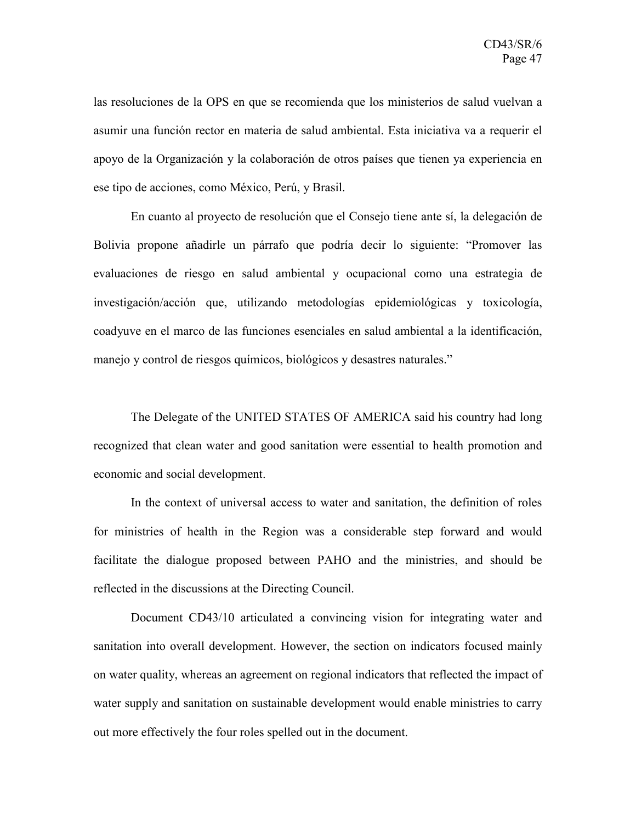las resoluciones de la OPS en que se recomienda que los ministerios de salud vuelvan a asumir una función rector en materia de salud ambiental. Esta iniciativa va a requerir el apoyo de la Organización y la colaboración de otros países que tienen ya experiencia en ese tipo de acciones, como México, Perú, y Brasil.

En cuanto al proyecto de resolución que el Consejo tiene ante sí, la delegación de Bolivia propone añadirle un párrafo que podría decir lo siguiente: "Promover las evaluaciones de riesgo en salud ambiental y ocupacional como una estrategia de investigación/acción que, utilizando metodologías epidemiológicas y toxicología, coadyuve en el marco de las funciones esenciales en salud ambiental a la identificación, manejo y control de riesgos químicos, biológicos y desastres naturales."

The Delegate of the UNITED STATES OF AMERICA said his country had long recognized that clean water and good sanitation were essential to health promotion and economic and social development.

In the context of universal access to water and sanitation, the definition of roles for ministries of health in the Region was a considerable step forward and would facilitate the dialogue proposed between PAHO and the ministries, and should be reflected in the discussions at the Directing Council.

Document CD43/10 articulated a convincing vision for integrating water and sanitation into overall development. However, the section on indicators focused mainly on water quality, whereas an agreement on regional indicators that reflected the impact of water supply and sanitation on sustainable development would enable ministries to carry out more effectively the four roles spelled out in the document.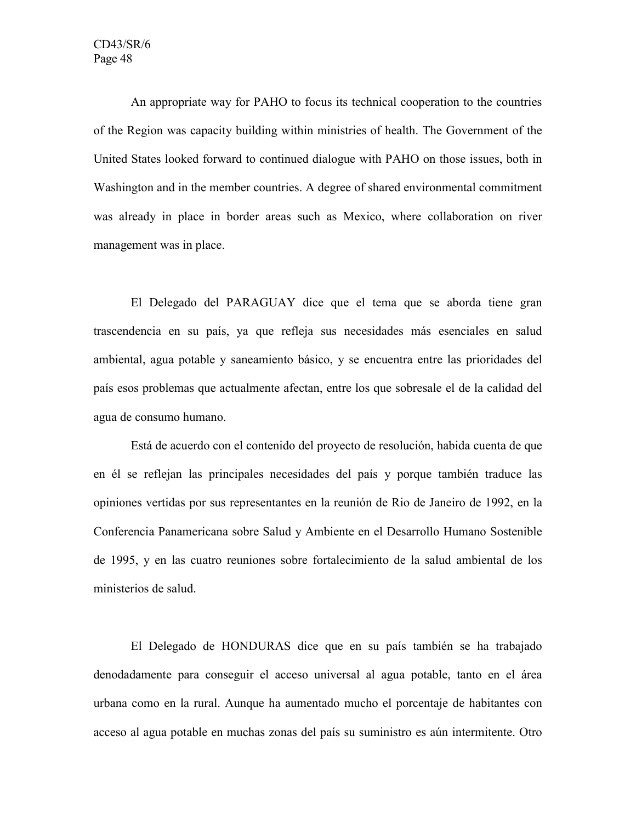An appropriate way for PAHO to focus its technical cooperation to the countries of the Region was capacity building within ministries of health. The Government of the United States looked forward to continued dialogue with PAHO on those issues, both in Washington and in the member countries. A degree of shared environmental commitment was already in place in border areas such as Mexico, where collaboration on river management was in place.

El Delegado del PARAGUAY dice que el tema que se aborda tiene gran trascendencia en su país, ya que refleja sus necesidades más esenciales en salud ambiental, agua potable y saneamiento básico, y se encuentra entre las prioridades del país esos problemas que actualmente afectan, entre los que sobresale el de la calidad del agua de consumo humano.

Está de acuerdo con el contenido del proyecto de resolución, habida cuenta de que en él se reflejan las principales necesidades del país y porque también traduce las opiniones vertidas por sus representantes en la reunión de Rio de Janeiro de 1992, en la Conferencia Panamericana sobre Salud y Ambiente en el Desarrollo Humano Sostenible de 1995, y en las cuatro reuniones sobre fortalecimiento de la salud ambiental de los ministerios de salud.

El Delegado de HONDURAS dice que en su país también se ha trabajado denodadamente para conseguir el acceso universal al agua potable, tanto en el área urbana como en la rural. Aunque ha aumentado mucho el porcentaje de habitantes con acceso al agua potable en muchas zonas del país su suministro es aún intermitente. Otro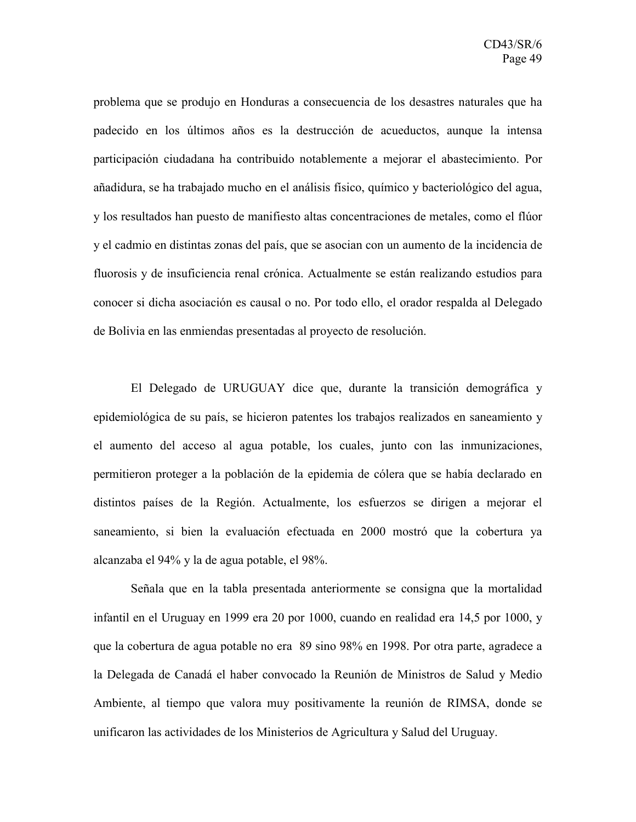problema que se produjo en Honduras a consecuencia de los desastres naturales que ha padecido en los últimos años es la destrucción de acueductos, aunque la intensa participación ciudadana ha contribuido notablemente a mejorar el abastecimiento. Por añadidura, se ha trabajado mucho en el análisis físico, químico y bacteriológico del agua, y los resultados han puesto de manifiesto altas concentraciones de metales, como el flúor y el cadmio en distintas zonas del país, que se asocian con un aumento de la incidencia de fluorosis y de insuficiencia renal crónica. Actualmente se están realizando estudios para conocer si dicha asociación es causal o no. Por todo ello, el orador respalda al Delegado de Bolivia en las enmiendas presentadas al proyecto de resolución.

El Delegado de URUGUAY dice que, durante la transición demográfica y epidemiológica de su país, se hicieron patentes los trabajos realizados en saneamiento y el aumento del acceso al agua potable, los cuales, junto con las inmunizaciones, permitieron proteger a la población de la epidemia de cólera que se había declarado en distintos países de la Región. Actualmente, los esfuerzos se dirigen a mejorar el saneamiento, si bien la evaluación efectuada en 2000 mostró que la cobertura ya alcanzaba el 94% y la de agua potable, el 98%.

Señala que en la tabla presentada anteriormente se consigna que la mortalidad infantil en el Uruguay en 1999 era 20 por 1000, cuando en realidad era 14,5 por 1000, y que la cobertura de agua potable no era 89 sino 98% en 1998. Por otra parte, agradece a la Delegada de Canadá el haber convocado la Reunión de Ministros de Salud y Medio Ambiente, al tiempo que valora muy positivamente la reunión de RIMSA, donde se unificaron las actividades de los Ministerios de Agricultura y Salud del Uruguay.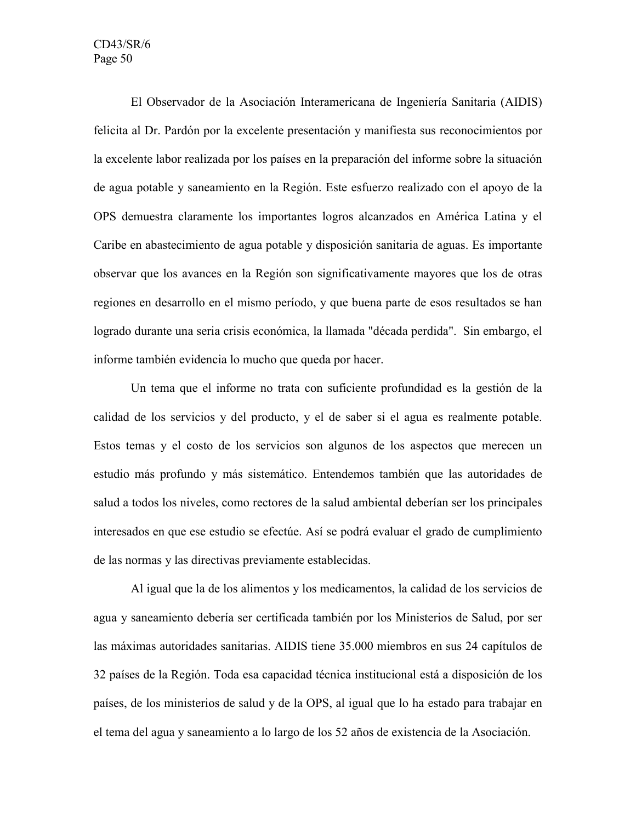El Observador de la Asociación Interamericana de Ingeniería Sanitaria (AIDIS) felicita al Dr. Pardón por la excelente presentación y manifiesta sus reconocimientos por la excelente labor realizada por los países en la preparación del informe sobre la situación de agua potable y saneamiento en la Región. Este esfuerzo realizado con el apoyo de la OPS demuestra claramente los importantes logros alcanzados en América Latina y el Caribe en abastecimiento de agua potable y disposición sanitaria de aguas. Es importante observar que los avances en la Región son significativamente mayores que los de otras regiones en desarrollo en el mismo período, y que buena parte de esos resultados se han logrado durante una seria crisis económica, la llamada "década perdida". Sin embargo, el informe también evidencia lo mucho que queda por hacer.

Un tema que el informe no trata con suficiente profundidad es la gestión de la calidad de los servicios y del producto, y el de saber si el agua es realmente potable. Estos temas y el costo de los servicios son algunos de los aspectos que merecen un estudio más profundo y más sistemático. Entendemos también que las autoridades de salud a todos los niveles, como rectores de la salud ambiental deberían ser los principales interesados en que ese estudio se efectúe. Así se podrá evaluar el grado de cumplimiento de las normas y las directivas previamente establecidas.

Al igual que la de los alimentos y los medicamentos, la calidad de los servicios de agua y saneamiento debería ser certificada también por los Ministerios de Salud, por ser las máximas autoridades sanitarias. AIDIS tiene 35.000 miembros en sus 24 capítulos de 32 países de la Región. Toda esa capacidad técnica institucional está a disposición de los países, de los ministerios de salud y de la OPS, al igual que lo ha estado para trabajar en el tema del agua y saneamiento a lo largo de los 52 años de existencia de la Asociación.